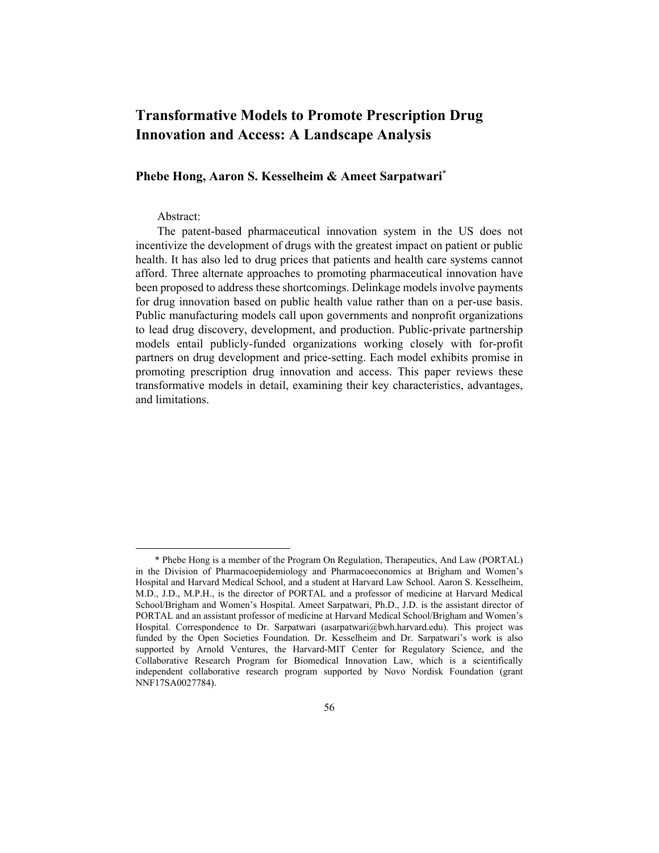# **Transformative Models to Promote Prescription Drug Innovation and Access: A Landscape Analysis**

# **Phebe Hong, Aaron S. Kesselheim & Ameet Sarpatwari\***

## Abstract:

The patent-based pharmaceutical innovation system in the US does not incentivize the development of drugs with the greatest impact on patient or public health. It has also led to drug prices that patients and health care systems cannot afford. Three alternate approaches to promoting pharmaceutical innovation have been proposed to address these shortcomings. Delinkage models involve payments for drug innovation based on public health value rather than on a per-use basis. Public manufacturing models call upon governments and nonprofit organizations to lead drug discovery, development, and production. Public-private partnership models entail publicly-funded organizations working closely with for-profit partners on drug development and price-setting. Each model exhibits promise in promoting prescription drug innovation and access. This paper reviews these transformative models in detail, examining their key characteristics, advantages, and limitations.

<sup>\*</sup> Phebe Hong is a member of the Program On Regulation, Therapeutics, And Law (PORTAL) in the Division of Pharmacoepidemiology and Pharmacoeconomics at Brigham and Women's Hospital and Harvard Medical School, and a student at Harvard Law School. Aaron S. Kesselheim, M.D., J.D., M.P.H., is the director of PORTAL and a professor of medicine at Harvard Medical School/Brigham and Women's Hospital. Ameet Sarpatwari, Ph.D., J.D. is the assistant director of PORTAL and an assistant professor of medicine at Harvard Medical School/Brigham and Women's Hospital. Correspondence to Dr. Sarpatwari (asarpatwari@bwh.harvard.edu). This project was funded by the Open Societies Foundation. Dr. Kesselheim and Dr. Sarpatwari's work is also supported by Arnold Ventures, the Harvard-MIT Center for Regulatory Science, and the Collaborative Research Program for Biomedical Innovation Law, which is a scientifically independent collaborative research program supported by Novo Nordisk Foundation (grant NNF17SA0027784).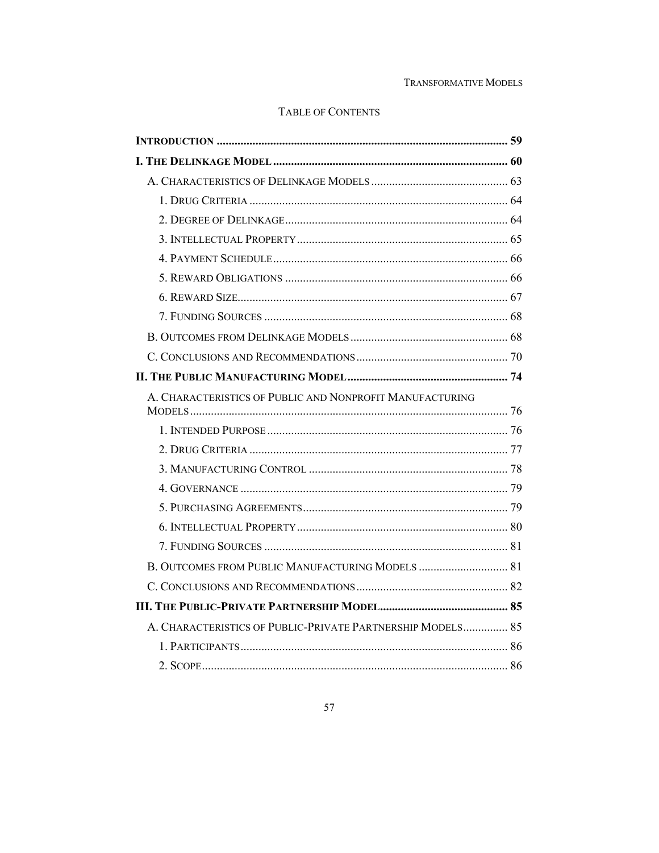# TABLE OF CONTENTS

| A. CHARACTERISTICS OF PUBLIC AND NONPROFIT MANUFACTURING   |  |
|------------------------------------------------------------|--|
|                                                            |  |
|                                                            |  |
|                                                            |  |
|                                                            |  |
|                                                            |  |
|                                                            |  |
|                                                            |  |
|                                                            |  |
|                                                            |  |
|                                                            |  |
| A. CHARACTERISTICS OF PUBLIC-PRIVATE PARTNERSHIP MODELS 85 |  |
|                                                            |  |
|                                                            |  |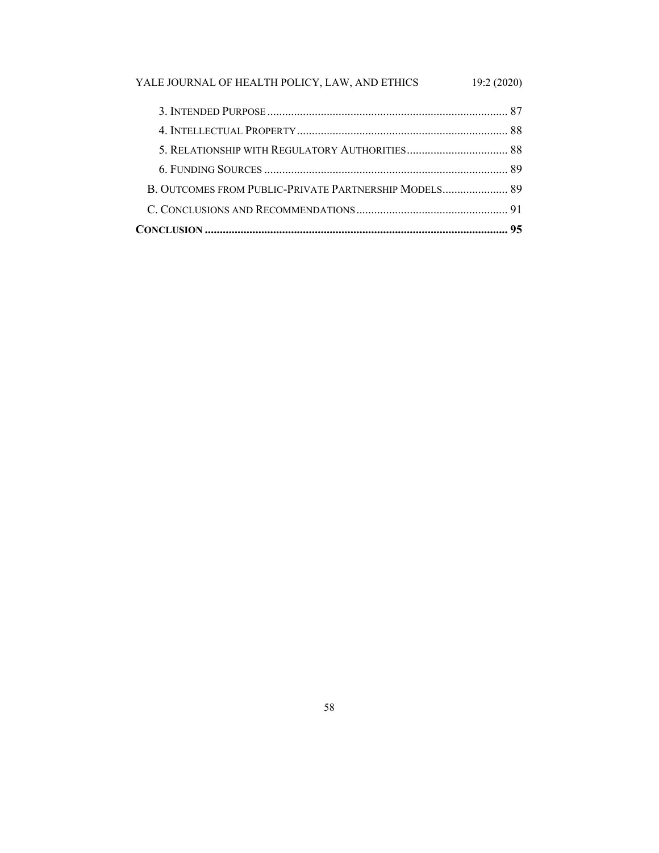# YALE JOURNAL OF HEALTH POLICY, LAW, AND ETHICS 19:2 (2020)

| B. OUTCOMES FROM PUBLIC-PRIVATE PARTNERSHIP MODELS 89 |  |
|-------------------------------------------------------|--|
|                                                       |  |
|                                                       |  |
|                                                       |  |
|                                                       |  |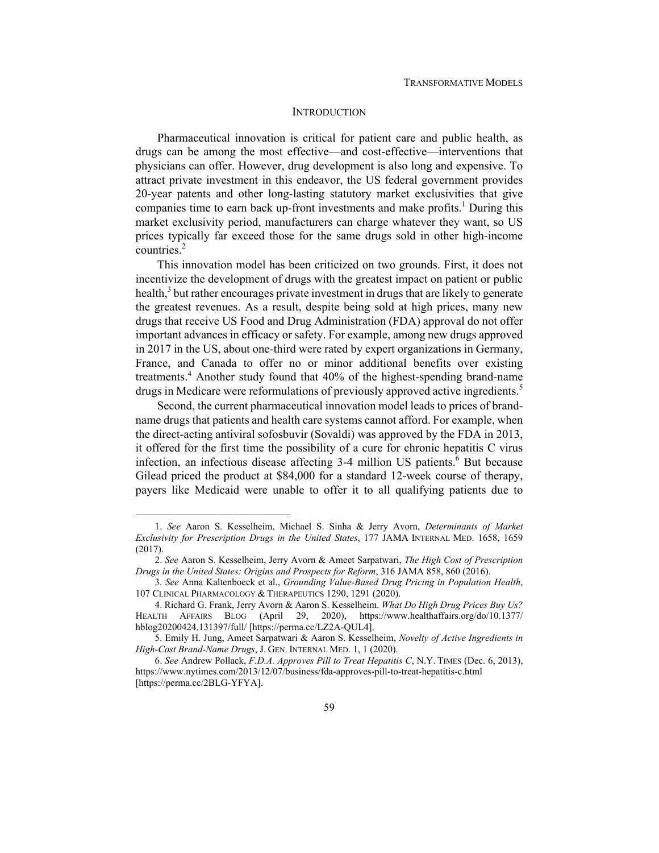## **INTRODUCTION**

Pharmaceutical innovation is critical for patient care and public health, as drugs can be among the most effective—and cost-effective—interventions that physicians can offer. However, drug development is also long and expensive. To attract private investment in this endeavor, the US federal government provides 20-year patents and other long-lasting statutory market exclusivities that give companies time to earn back up-front investments and make profits.<sup>1</sup> During this market exclusivity period, manufacturers can charge whatever they want, so US prices typically far exceed those for the same drugs sold in other high-income countries.<sup>2</sup>

This innovation model has been criticized on two grounds. First, it does not incentivize the development of drugs with the greatest impact on patient or public health,<sup>3</sup> but rather encourages private investment in drugs that are likely to generate the greatest revenues. As a result, despite being sold at high prices, many new drugs that receive US Food and Drug Administration (FDA) approval do not offer important advances in efficacy or safety. For example, among new drugs approved in 2017 in the US, about one-third were rated by expert organizations in Germany, France, and Canada to offer no or minor additional benefits over existing treatments.<sup>4</sup> Another study found that 40% of the highest-spending brand-name drugs in Medicare were reformulations of previously approved active ingredients.<sup>5</sup>

Second, the current pharmaceutical innovation model leads to prices of brandname drugs that patients and health care systems cannot afford. For example, when the direct-acting antiviral sofosbuvir (Sovaldi) was approved by the FDA in 2013, it offered for the first time the possibility of a cure for chronic hepatitis C virus infection, an infectious disease affecting 3-4 million US patients.<sup>6</sup> But because Gilead priced the product at \$84,000 for a standard 12-week course of therapy, payers like Medicaid were unable to offer it to all qualifying patients due to

<sup>1.</sup> *See* Aaron S. Kesselheim, Michael S. Sinha & Jerry Avorn, *Determinants of Market Exclusivity for Prescription Drugs in the United States*, 177 JAMA INTERNAL MED. 1658, 1659 (2017).

<sup>2.</sup> *See* Aaron S. Kesselheim, Jerry Avorn & Ameet Sarpatwari, *The High Cost of Prescription Drugs in the United States: Origins and Prospects for Reform*, 316 JAMA 858, 860 (2016).

<sup>3.</sup> *See* Anna Kaltenboeck et al., *Grounding Value‐Based Drug Pricing in Population Health*, 107 CLINICAL PHARMACOLOGY & THERAPEUTICS 1290, 1291 (2020).

 <sup>4.</sup> Richard G. Frank, Jerry Avorn & Aaron S. Kesselheim. *What Do High Drug Prices Buy Us?* HEALTH AFFAIRS BLOG (April 29, 2020), https://www.healthaffairs.org/do/10.1377/ hblog20200424.131397/full/ [https://perma.cc/LZ2A-QUL4].

 <sup>5.</sup> Emily H. Jung, Ameet Sarpatwari & Aaron S. Kesselheim, *Novelty of Active Ingredients in High-Cost Brand-Name Drugs*, J. GEN. INTERNAL MED. 1, 1 (2020).

<sup>6.</sup> *See* Andrew Pollack, *F.D.A. Approves Pill to Treat Hepatitis C*, N.Y. TIMES (Dec. 6, 2013), https://www.nytimes.com/2013/12/07/business/fda-approves-pill-to-treat-hepatitis-c.html [https://perma.cc/2BLG-YFYA].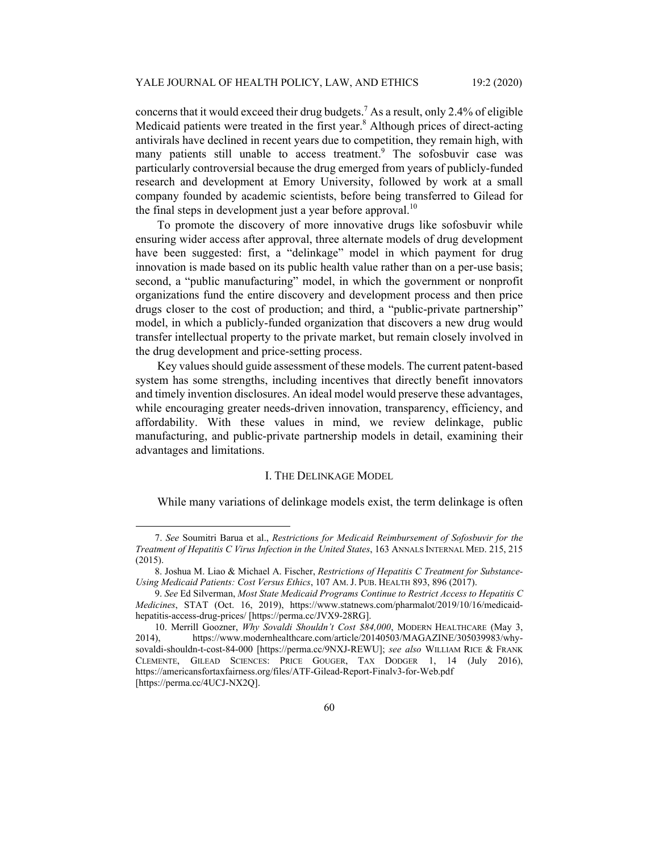concerns that it would exceed their drug budgets.<sup>7</sup> As a result, only 2.4% of eligible Medicaid patients were treated in the first year.<sup>8</sup> Although prices of direct-acting antivirals have declined in recent years due to competition, they remain high, with many patients still unable to access treatment.<sup>9</sup> The sofosbuvir case was particularly controversial because the drug emerged from years of publicly-funded research and development at Emory University, followed by work at a small company founded by academic scientists, before being transferred to Gilead for the final steps in development just a year before approval.<sup>10</sup>

To promote the discovery of more innovative drugs like sofosbuvir while ensuring wider access after approval, three alternate models of drug development have been suggested: first, a "delinkage" model in which payment for drug innovation is made based on its public health value rather than on a per-use basis; second, a "public manufacturing" model, in which the government or nonprofit organizations fund the entire discovery and development process and then price drugs closer to the cost of production; and third, a "public-private partnership" model, in which a publicly-funded organization that discovers a new drug would transfer intellectual property to the private market, but remain closely involved in the drug development and price-setting process.

Key values should guide assessment of these models. The current patent-based system has some strengths, including incentives that directly benefit innovators and timely invention disclosures. An ideal model would preserve these advantages, while encouraging greater needs-driven innovation, transparency, efficiency, and affordability. With these values in mind, we review delinkage, public manufacturing, and public-private partnership models in detail, examining their advantages and limitations.

#### I. THE DELINKAGE MODEL

While many variations of delinkage models exist, the term delinkage is often

<sup>7.</sup> *See* Soumitri Barua et al., *Restrictions for Medicaid Reimbursement of Sofosbuvir for the Treatment of Hepatitis C Virus Infection in the United States*, 163 ANNALS INTERNAL MED. 215, 215 (2015).

 <sup>8.</sup> Joshua M. Liao & Michael A. Fischer, *Restrictions of Hepatitis C Treatment for Substance-Using Medicaid Patients: Cost Versus Ethics*, 107 AM. J. PUB. HEALTH 893, 896 (2017).

<sup>9.</sup> *See* Ed Silverman, *Most State Medicaid Programs Continue to Restrict Access to Hepatitis C Medicines*, STAT (Oct. 16, 2019), https://www.statnews.com/pharmalot/2019/10/16/medicaidhepatitis-access-drug-prices/ [https://perma.cc/JVX9-28RG].

 <sup>10.</sup> Merrill Goozner, *Why Sovaldi Shouldn't Cost \$84,000*, MODERN HEALTHCARE (May 3, 2014), https://www.modernhealthcare.com/article/20140503/MAGAZINE/305039983/whysovaldi-shouldn-t-cost-84-000 [https://perma.cc/9NXJ-REWU]; *see also* WILLIAM RICE & FRANK CLEMENTE, GILEAD SCIENCES: PRICE GOUGER, TAX DODGER 1, 14 (July 2016), https://americansfortaxfairness.org/files/ATF-Gilead-Report-Finalv3-for-Web.pdf [https://perma.cc/4UCJ-NX2Q].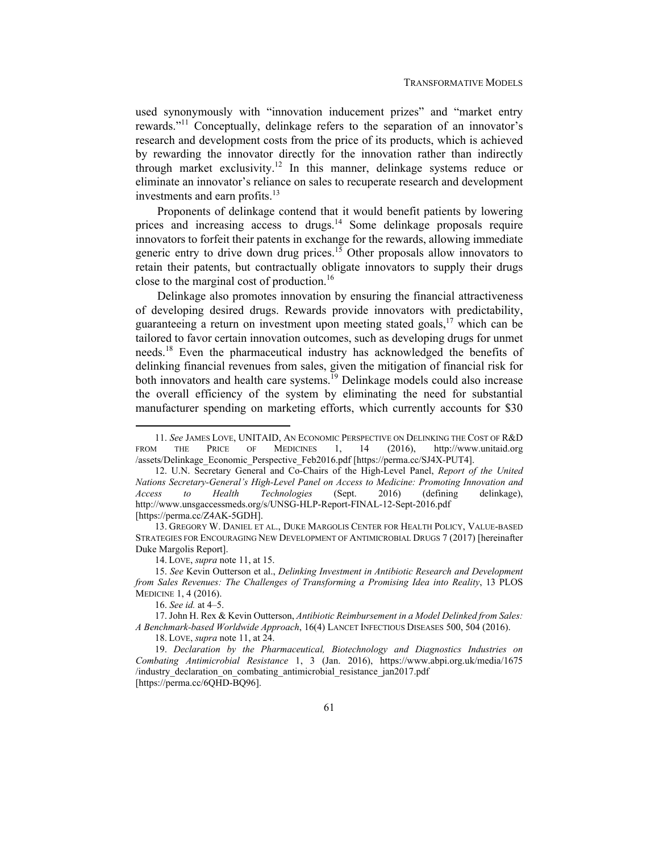used synonymously with "innovation inducement prizes" and "market entry rewards."11 Conceptually, delinkage refers to the separation of an innovator's research and development costs from the price of its products, which is achieved by rewarding the innovator directly for the innovation rather than indirectly through market exclusivity.12 In this manner, delinkage systems reduce or eliminate an innovator's reliance on sales to recuperate research and development investments and earn profits.<sup>13</sup>

Proponents of delinkage contend that it would benefit patients by lowering prices and increasing access to drugs.<sup>14</sup> Some delinkage proposals require innovators to forfeit their patents in exchange for the rewards, allowing immediate generic entry to drive down drug prices.<sup>15</sup> Other proposals allow innovators to retain their patents, but contractually obligate innovators to supply their drugs close to the marginal cost of production.<sup>16</sup>

Delinkage also promotes innovation by ensuring the financial attractiveness of developing desired drugs. Rewards provide innovators with predictability, guaranteeing a return on investment upon meeting stated goals,<sup>17</sup> which can be tailored to favor certain innovation outcomes, such as developing drugs for unmet needs.18 Even the pharmaceutical industry has acknowledged the benefits of delinking financial revenues from sales, given the mitigation of financial risk for both innovators and health care systems.<sup>19</sup> Delinkage models could also increase the overall efficiency of the system by eliminating the need for substantial manufacturer spending on marketing efforts, which currently accounts for \$30

 13. GREGORY W. DANIEL ET AL., DUKE MARGOLIS CENTER FOR HEALTH POLICY, VALUE-BASED STRATEGIES FOR ENCOURAGING NEW DEVELOPMENT OF ANTIMICROBIAL DRUGS 7 (2017) [hereinafter Duke Margolis Report].

14. LOVE, *supra* note 11, at 15.

18. LOVE, *supra* note 11, at 24.

<sup>11.</sup> *See* JAMES LOVE, UNITAID, AN ECONOMIC PERSPECTIVE ON DELINKING THE COST OF R&D FROM THE PRICE OF MEDICINES 1, 14 (2016), http://www.unitaid.org /assets/Delinkage\_Economic\_Perspective\_Feb2016.pdf [https://perma.cc/SJ4X-PUT4].

 <sup>12.</sup> U.N. Secretary General and Co-Chairs of the High-Level Panel, *Report of the United Nations Secretary-General's High-Level Panel on Access to Medicine: Promoting Innovation and Access to Health Technologies* (Sept. 2016) (defining delinkage), http://www.unsgaccessmeds.org/s/UNSG-HLP-Report-FINAL-12-Sept-2016.pdf [https://perma.cc/Z4AK-5GDH].

<sup>15.</sup> *See* Kevin Outterson et al., *Delinking Investment in Antibiotic Research and Development from Sales Revenues: The Challenges of Transforming a Promising Idea into Reality*, 13 PLOS MEDICINE 1, 4 (2016).

<sup>16.</sup> *See id.* at 4–5.

 <sup>17.</sup> John H. Rex & Kevin Outterson, *Antibiotic Reimbursement in a Model Delinked from Sales: A Benchmark-based Worldwide Approach*, 16(4) LANCET INFECTIOUS DISEASES 500, 504 (2016).

<sup>19.</sup> *Declaration by the Pharmaceutical, Biotechnology and Diagnostics Industries on Combating Antimicrobial Resistance* 1, 3 (Jan. 2016), https://www.abpi.org.uk/media/1675 /industry\_declaration\_on\_combating\_antimicrobial\_resistance\_jan2017.pdf [https://perma.cc/6QHD-BQ96].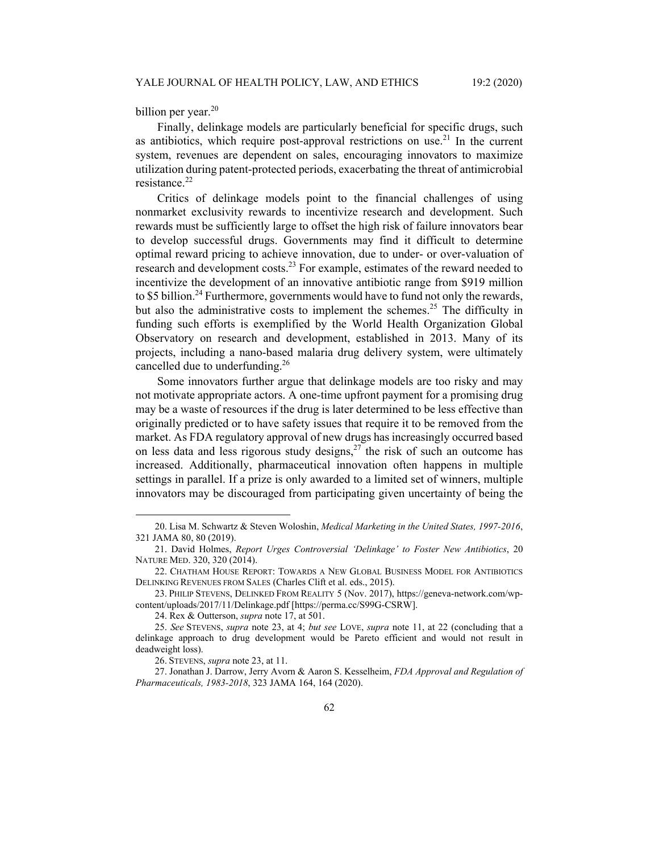billion per year. $20$ 

Finally, delinkage models are particularly beneficial for specific drugs, such as antibiotics, which require post-approval restrictions on use.<sup>21</sup> In the current system, revenues are dependent on sales, encouraging innovators to maximize utilization during patent-protected periods, exacerbating the threat of antimicrobial resistance.<sup>22</sup>

Critics of delinkage models point to the financial challenges of using nonmarket exclusivity rewards to incentivize research and development. Such rewards must be sufficiently large to offset the high risk of failure innovators bear to develop successful drugs. Governments may find it difficult to determine optimal reward pricing to achieve innovation, due to under- or over-valuation of research and development costs.<sup>23</sup> For example, estimates of the reward needed to incentivize the development of an innovative antibiotic range from \$919 million to \$5 billion.<sup>24</sup> Furthermore, governments would have to fund not only the rewards, but also the administrative costs to implement the schemes.<sup>25</sup> The difficulty in funding such efforts is exemplified by the World Health Organization Global Observatory on research and development, established in 2013. Many of its projects, including a nano-based malaria drug delivery system, were ultimately cancelled due to underfunding.<sup>26</sup>

Some innovators further argue that delinkage models are too risky and may not motivate appropriate actors. A one-time upfront payment for a promising drug may be a waste of resources if the drug is later determined to be less effective than originally predicted or to have safety issues that require it to be removed from the market. As FDA regulatory approval of new drugs has increasingly occurred based on less data and less rigorous study designs,  $27$  the risk of such an outcome has increased. Additionally, pharmaceutical innovation often happens in multiple settings in parallel. If a prize is only awarded to a limited set of winners, multiple innovators may be discouraged from participating given uncertainty of being the

 <sup>20.</sup> Lisa M. Schwartz & Steven Woloshin, *Medical Marketing in the United States, 1997-2016*, 321 JAMA 80, 80 (2019).

 <sup>21.</sup> David Holmes, *Report Urges Controversial 'Delinkage' to Foster New Antibiotics*, 20 NATURE MED. 320, 320 (2014).

 <sup>22.</sup> CHATHAM HOUSE REPORT: TOWARDS A NEW GLOBAL BUSINESS MODEL FOR ANTIBIOTICS DELINKING REVENUES FROM SALES (Charles Clift et al. eds., 2015).

 <sup>23.</sup> PHILIP STEVENS, DELINKED FROM REALITY 5 (Nov. 2017), https://geneva-network.com/wpcontent/uploads/2017/11/Delinkage.pdf [https://perma.cc/S99G-CSRW].

 <sup>24.</sup> Rex & Outterson, *supra* note 17, at 501.

<sup>25.</sup> *See* STEVENS, *supra* note 23, at 4; *but see* LOVE, *supra* note 11, at 22 (concluding that a delinkage approach to drug development would be Pareto efficient and would not result in deadweight loss).

 <sup>26.</sup> STEVENS, *supra* note 23, at 11.

 <sup>27.</sup> Jonathan J. Darrow, Jerry Avorn & Aaron S. Kesselheim, *FDA Approval and Regulation of Pharmaceuticals, 1983-2018*, 323 JAMA 164, 164 (2020).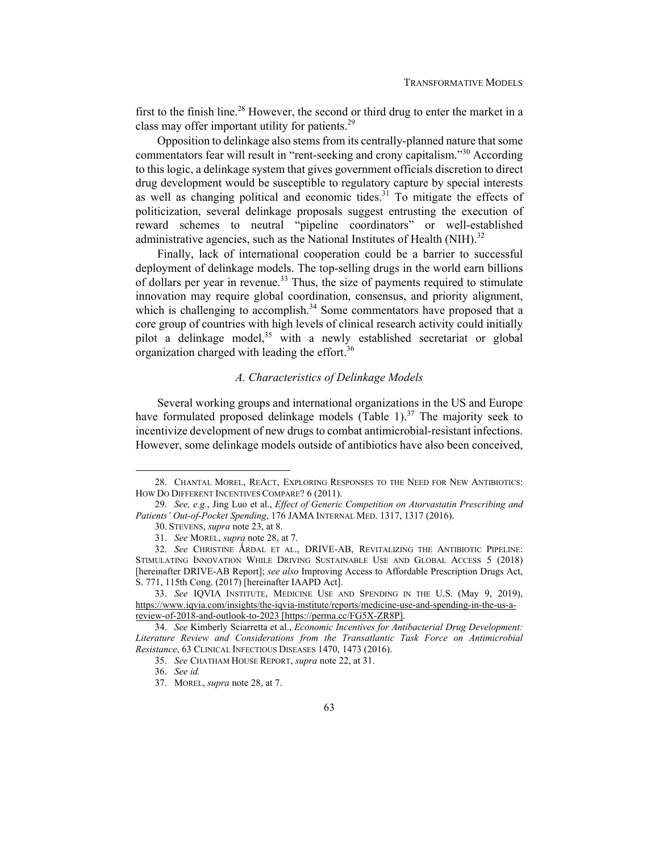first to the finish line.<sup>28</sup> However, the second or third drug to enter the market in a class may offer important utility for patients.29

Opposition to delinkage also stems from its centrally-planned nature that some commentators fear will result in "rent-seeking and crony capitalism."30 According to this logic, a delinkage system that gives government officials discretion to direct drug development would be susceptible to regulatory capture by special interests as well as changing political and economic tides.<sup>31</sup> To mitigate the effects of politicization, several delinkage proposals suggest entrusting the execution of reward schemes to neutral "pipeline coordinators" or well-established administrative agencies, such as the National Institutes of Health (NIH).<sup>32</sup>

Finally, lack of international cooperation could be a barrier to successful deployment of delinkage models. The top-selling drugs in the world earn billions of dollars per year in revenue.<sup>33</sup> Thus, the size of payments required to stimulate innovation may require global coordination, consensus, and priority alignment, which is challenging to accomplish.<sup>34</sup> Some commentators have proposed that a core group of countries with high levels of clinical research activity could initially pilot a delinkage model, $35$  with a newly established secretariat or global organization charged with leading the effort.<sup>36</sup>

#### *A. Characteristics of Delinkage Models*

Several working groups and international organizations in the US and Europe have formulated proposed delinkage models (Table 1).<sup>37</sup> The majority seek to incentivize development of new drugs to combat antimicrobial-resistant infections. However, some delinkage models outside of antibiotics have also been conceived,

 <sup>28.</sup> CHANTAL MOREL, REACT, EXPLORING RESPONSES TO THE NEED FOR NEW ANTIBIOTICS: HOW DO DIFFERENT INCENTIVES COMPARE? 6 (2011).

<sup>29.</sup> *See, e.g.*, Jing Luo et al., *Effect of Generic Competition on Atorvastatin Prescribing and Patients' Out-of-Pocket Spending*, 176 JAMA INTERNAL MED. 1317, 1317 (2016).

 <sup>30.</sup> STEVENS, *supra* note 23, at 8.

<sup>31.</sup> *See* MOREL, *supra* note 28, at 7.

<sup>32.</sup> *See* CHRISTINE ǺRDAL ET AL., DRIVE-AB, REVITALIZING THE ANTIBIOTIC PIPELINE: STIMULATING INNOVATION WHILE DRIVING SUSTAINABLE USE AND GLOBAL ACCESS 5 (2018) [hereinafter DRIVE-AB Report]; *see also* Improving Access to Affordable Prescription Drugs Act, S. 771, 115th Cong. (2017) [hereinafter IAAPD Act].

<sup>33.</sup> *See* IQVIA INSTITUTE, MEDICINE USE AND SPENDING IN THE U.S. (May 9, 2019), https://www.iqvia.com/insights/the-iqvia-institute/reports/medicine-use-and-spending-in-the-us-areview-of-2018-and-outlook-to-2023 [https://perma.cc/FG5X-ZR8P].

<sup>34.</sup> *See* Kimberly Sciarretta et al., *Economic Incentives for Antibacterial Drug Development: Literature Review and Considerations from the Transatlantic Task Force on Antimicrobial Resistance*, 63 CLINICAL INFECTIOUS DISEASES 1470, 1473 (2016).

<sup>35.</sup> *See* CHATHAM HOUSE REPORT, *supra* note 22, at 31.

<sup>36.</sup> *See id.*

 <sup>37.</sup> MOREL, *supra* note 28, at 7.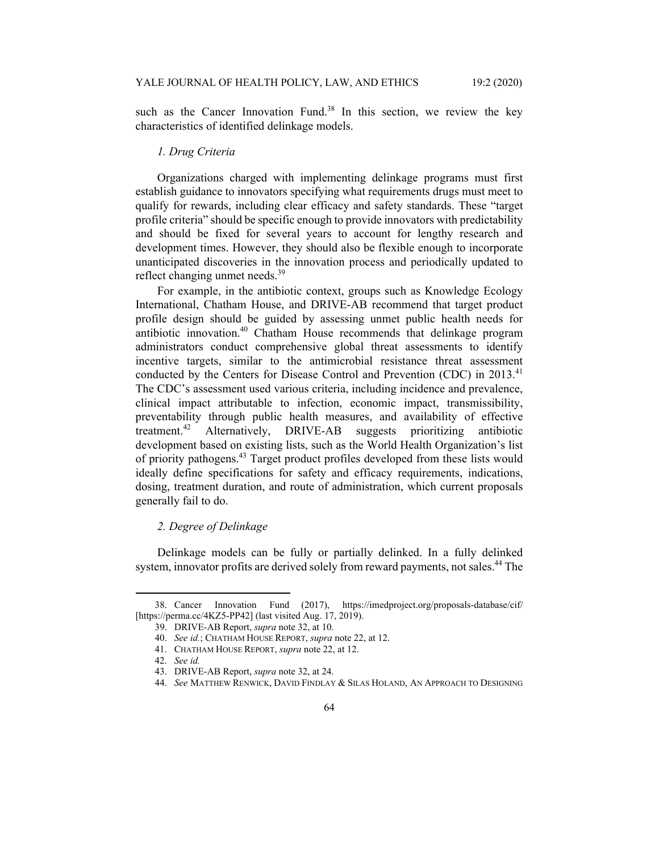such as the Cancer Innovation Fund.<sup>38</sup> In this section, we review the key characteristics of identified delinkage models.

## *1. Drug Criteria*

Organizations charged with implementing delinkage programs must first establish guidance to innovators specifying what requirements drugs must meet to qualify for rewards, including clear efficacy and safety standards. These "target profile criteria" should be specific enough to provide innovators with predictability and should be fixed for several years to account for lengthy research and development times. However, they should also be flexible enough to incorporate unanticipated discoveries in the innovation process and periodically updated to reflect changing unmet needs.<sup>39</sup>

For example, in the antibiotic context, groups such as Knowledge Ecology International, Chatham House, and DRIVE-AB recommend that target product profile design should be guided by assessing unmet public health needs for antibiotic innovation.<sup>40</sup> Chatham House recommends that delinkage program administrators conduct comprehensive global threat assessments to identify incentive targets, similar to the antimicrobial resistance threat assessment conducted by the Centers for Disease Control and Prevention (CDC) in 2013.<sup>41</sup> The CDC's assessment used various criteria, including incidence and prevalence, clinical impact attributable to infection, economic impact, transmissibility, preventability through public health measures, and availability of effective treatment.42 Alternatively, DRIVE-AB suggests prioritizing antibiotic development based on existing lists, such as the World Health Organization's list of priority pathogens.<sup>43</sup> Target product profiles developed from these lists would ideally define specifications for safety and efficacy requirements, indications, dosing, treatment duration, and route of administration, which current proposals generally fail to do.

# *2. Degree of Delinkage*

Delinkage models can be fully or partially delinked. In a fully delinked system, innovator profits are derived solely from reward payments, not sales.<sup>44</sup> The

 <sup>38.</sup> Cancer Innovation Fund (2017), https://imedproject.org/proposals-database/cif/ [https://perma.cc/4KZ5-PP42] (last visited Aug. 17, 2019).

 <sup>39.</sup> DRIVE-AB Report, *supra* note 32, at 10.

<sup>40.</sup> *See id.*; CHATHAM HOUSE REPORT, *supra* note 22, at 12.

 <sup>41.</sup> CHATHAM HOUSE REPORT, *supra* note 22, at 12.

<sup>42.</sup> *See id.*

 <sup>43.</sup> DRIVE-AB Report, *supra* note 32, at 24.

<sup>44.</sup> *See* MATTHEW RENWICK, DAVID FINDLAY & SILAS HOLAND, AN APPROACH TO DESIGNING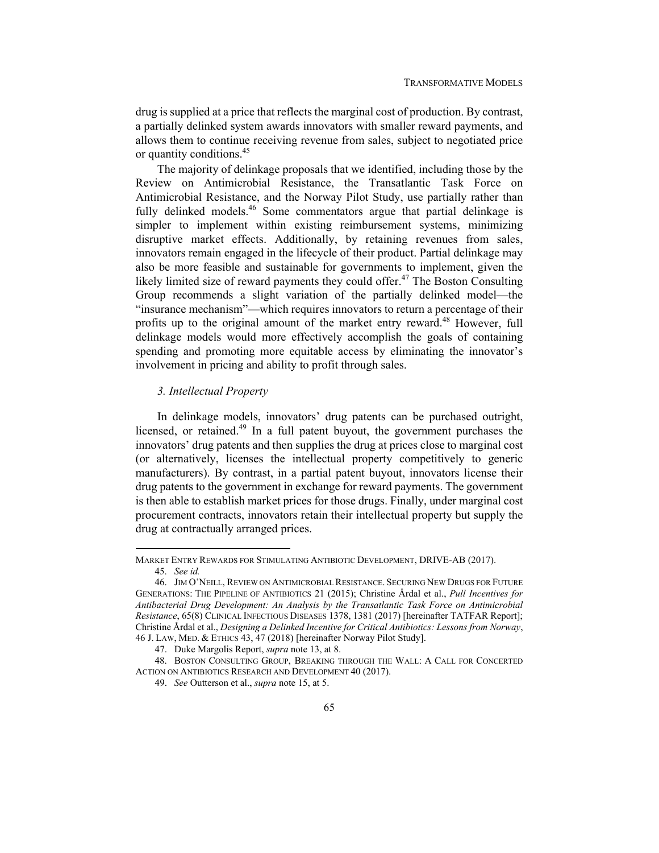drug is supplied at a price that reflects the marginal cost of production. By contrast, a partially delinked system awards innovators with smaller reward payments, and allows them to continue receiving revenue from sales, subject to negotiated price or quantity conditions.45

The majority of delinkage proposals that we identified, including those by the Review on Antimicrobial Resistance, the Transatlantic Task Force on Antimicrobial Resistance, and the Norway Pilot Study, use partially rather than fully delinked models.<sup>46</sup> Some commentators argue that partial delinkage is simpler to implement within existing reimbursement systems, minimizing disruptive market effects. Additionally, by retaining revenues from sales, innovators remain engaged in the lifecycle of their product. Partial delinkage may also be more feasible and sustainable for governments to implement, given the likely limited size of reward payments they could offer.<sup>47</sup> The Boston Consulting Group recommends a slight variation of the partially delinked model—the "insurance mechanism"—which requires innovators to return a percentage of their profits up to the original amount of the market entry reward.<sup>48</sup> However, full delinkage models would more effectively accomplish the goals of containing spending and promoting more equitable access by eliminating the innovator's involvement in pricing and ability to profit through sales.

## *3. Intellectual Property*

In delinkage models, innovators' drug patents can be purchased outright, licensed, or retained.<sup>49</sup> In a full patent buyout, the government purchases the innovators' drug patents and then supplies the drug at prices close to marginal cost (or alternatively, licenses the intellectual property competitively to generic manufacturers). By contrast, in a partial patent buyout, innovators license their drug patents to the government in exchange for reward payments. The government is then able to establish market prices for those drugs. Finally, under marginal cost procurement contracts, innovators retain their intellectual property but supply the drug at contractually arranged prices.

MARKET ENTRY REWARDS FOR STIMULATING ANTIBIOTIC DEVELOPMENT, DRIVE-AB (2017). 45. *See id.*

 <sup>46.</sup> JIM O'NEILL, REVIEW ON ANTIMICROBIAL RESISTANCE. SECURING NEW DRUGS FOR FUTURE GENERATIONS: THE PIPELINE OF ANTIBIOTICS 21 (2015); Christine Årdal et al., *Pull Incentives for Antibacterial Drug Development: An Analysis by the Transatlantic Task Force on Antimicrobial Resistance*, 65(8) CLINICAL INFECTIOUS DISEASES 1378, 1381 (2017) [hereinafter TATFAR Report]; Christine Årdal et al., *Designing a Delinked Incentive for Critical Antibiotics: Lessons from Norway*,

<sup>46</sup> J. LAW, MED. & ETHICS 43, 47 (2018) [hereinafter Norway Pilot Study].

 <sup>47.</sup> Duke Margolis Report, *supra* note 13, at 8.

 <sup>48.</sup> BOSTON CONSULTING GROUP, BREAKING THROUGH THE WALL: A CALL FOR CONCERTED ACTION ON ANTIBIOTICS RESEARCH AND DEVELOPMENT 40 (2017).

<sup>49.</sup> *See* Outterson et al., *supra* note 15, at 5.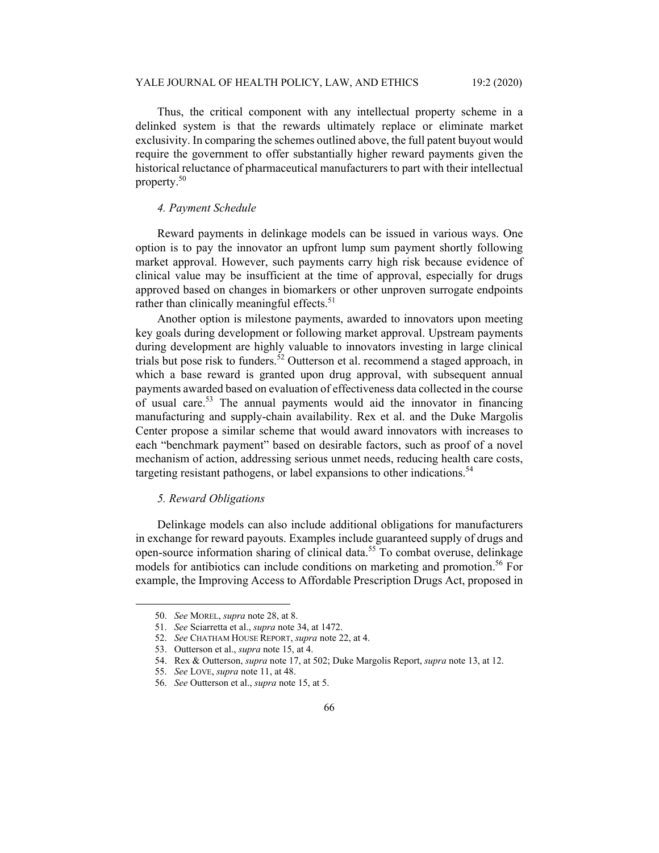Thus, the critical component with any intellectual property scheme in a delinked system is that the rewards ultimately replace or eliminate market exclusivity. In comparing the schemes outlined above, the full patent buyout would require the government to offer substantially higher reward payments given the historical reluctance of pharmaceutical manufacturers to part with their intellectual property.50

## *4. Payment Schedule*

Reward payments in delinkage models can be issued in various ways. One option is to pay the innovator an upfront lump sum payment shortly following market approval. However, such payments carry high risk because evidence of clinical value may be insufficient at the time of approval, especially for drugs approved based on changes in biomarkers or other unproven surrogate endpoints rather than clinically meaningful effects. $51$ 

Another option is milestone payments, awarded to innovators upon meeting key goals during development or following market approval. Upstream payments during development are highly valuable to innovators investing in large clinical trials but pose risk to funders.<sup>52</sup> Outterson et al. recommend a staged approach, in which a base reward is granted upon drug approval, with subsequent annual payments awarded based on evaluation of effectiveness data collected in the course of usual care.53 The annual payments would aid the innovator in financing manufacturing and supply-chain availability. Rex et al. and the Duke Margolis Center propose a similar scheme that would award innovators with increases to each "benchmark payment" based on desirable factors, such as proof of a novel mechanism of action, addressing serious unmet needs, reducing health care costs, targeting resistant pathogens, or label expansions to other indications.<sup>54</sup>

## *5. Reward Obligations*

Delinkage models can also include additional obligations for manufacturers in exchange for reward payouts. Examples include guaranteed supply of drugs and open-source information sharing of clinical data.55 To combat overuse, delinkage models for antibiotics can include conditions on marketing and promotion.<sup>56</sup> For example, the Improving Access to Affordable Prescription Drugs Act, proposed in

<sup>50.</sup> *See* MOREL, *supra* note 28, at 8.

<sup>51.</sup> *See* Sciarretta et al., *supra* note 34, at 1472.

<sup>52.</sup> *See* CHATHAM HOUSE REPORT, *supra* note 22, at 4.

 <sup>53.</sup> Outterson et al., *supra* note 15, at 4.

 <sup>54.</sup> Rex & Outterson, *supra* note 17, at 502; Duke Margolis Report, *supra* note 13, at 12.

<sup>55.</sup> *See* LOVE, *supra* note 11, at 48.

<sup>56.</sup> *See* Outterson et al., *supra* note 15, at 5.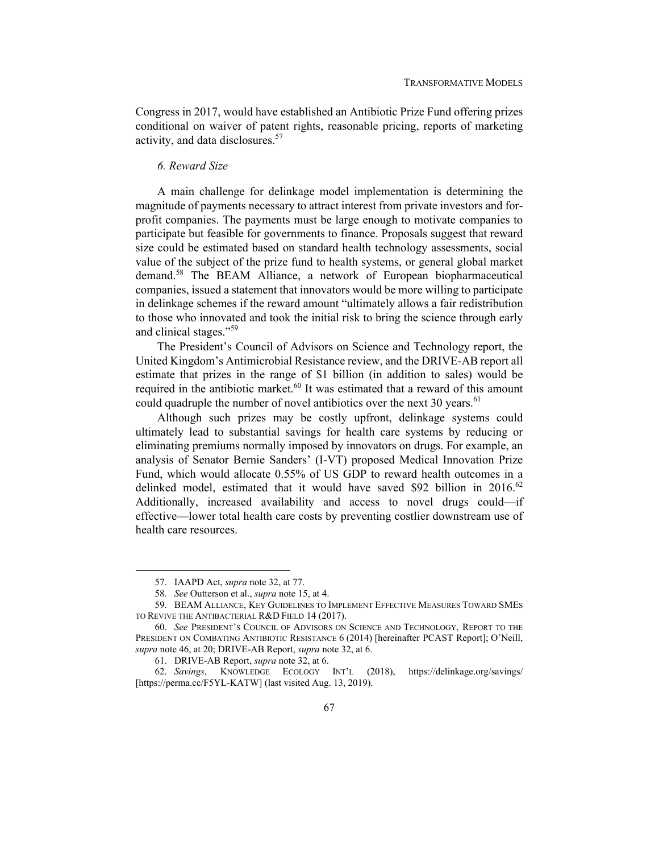Congress in 2017, would have established an Antibiotic Prize Fund offering prizes conditional on waiver of patent rights, reasonable pricing, reports of marketing activity, and data disclosures.<sup>57</sup>

## *6. Reward Size*

A main challenge for delinkage model implementation is determining the magnitude of payments necessary to attract interest from private investors and forprofit companies. The payments must be large enough to motivate companies to participate but feasible for governments to finance. Proposals suggest that reward size could be estimated based on standard health technology assessments, social value of the subject of the prize fund to health systems, or general global market demand.58 The BEAM Alliance, a network of European biopharmaceutical companies, issued a statement that innovators would be more willing to participate in delinkage schemes if the reward amount "ultimately allows a fair redistribution to those who innovated and took the initial risk to bring the science through early and clinical stages."<sup>59</sup>

The President's Council of Advisors on Science and Technology report, the United Kingdom's Antimicrobial Resistance review, and the DRIVE-AB report all estimate that prizes in the range of \$1 billion (in addition to sales) would be required in the antibiotic market.<sup>60</sup> It was estimated that a reward of this amount could quadruple the number of novel antibiotics over the next 30 years. $61$ 

Although such prizes may be costly upfront, delinkage systems could ultimately lead to substantial savings for health care systems by reducing or eliminating premiums normally imposed by innovators on drugs. For example, an analysis of Senator Bernie Sanders' (I-VT) proposed Medical Innovation Prize Fund, which would allocate 0.55% of US GDP to reward health outcomes in a delinked model, estimated that it would have saved \$92 billion in  $2016$ .<sup>62</sup> Additionally, increased availability and access to novel drugs could—if effective—lower total health care costs by preventing costlier downstream use of health care resources.

 <sup>57.</sup> IAAPD Act, *supra* note 32, at 77.

<sup>58.</sup> *See* Outterson et al., *supra* note 15, at 4.

 <sup>59.</sup> BEAM ALLIANCE, KEY GUIDELINES TO IMPLEMENT EFFECTIVE MEASURES TOWARD SMES TO REVIVE THE ANTIBACTERIAL R&D FIELD 14 (2017).

<sup>60.</sup> *See* PRESIDENT'S COUNCIL OF ADVISORS ON SCIENCE AND TECHNOLOGY, REPORT TO THE PRESIDENT ON COMBATING ANTIBIOTIC RESISTANCE 6 (2014) [hereinafter PCAST Report]; O'Neill, *supra* note 46, at 20; DRIVE-AB Report, *supra* note 32, at 6.

 <sup>61.</sup> DRIVE-AB Report, *supra* note 32, at 6.

<sup>62.</sup> *Savings*, KNOWLEDGE ECOLOGY INT'L (2018), https://delinkage.org/savings/ [https://perma.cc/F5YL-KATW] (last visited Aug. 13, 2019).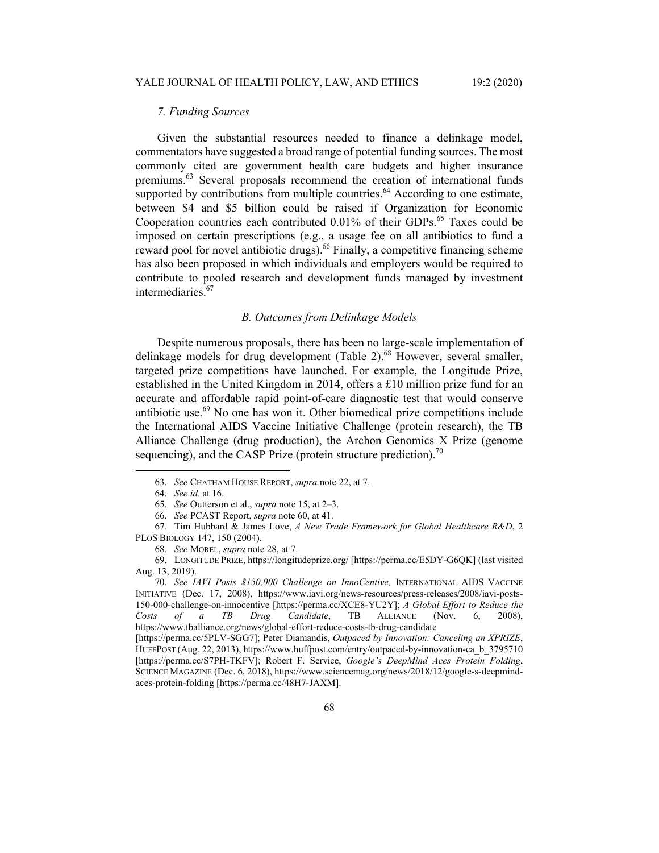## *7. Funding Sources*

Given the substantial resources needed to finance a delinkage model, commentators have suggested a broad range of potential funding sources. The most commonly cited are government health care budgets and higher insurance premiums.<sup>63</sup> Several proposals recommend the creation of international funds supported by contributions from multiple countries.<sup>64</sup> According to one estimate, between \$4 and \$5 billion could be raised if Organization for Economic Cooperation countries each contributed 0.01% of their GDPs.<sup>65</sup> Taxes could be imposed on certain prescriptions (e.g., a usage fee on all antibiotics to fund a reward pool for novel antibiotic drugs).<sup>66</sup> Finally, a competitive financing scheme has also been proposed in which individuals and employers would be required to contribute to pooled research and development funds managed by investment intermediaries.<sup>67</sup>

## *B. Outcomes from Delinkage Models*

Despite numerous proposals, there has been no large-scale implementation of delinkage models for drug development (Table 2). $^{68}$  However, several smaller, targeted prize competitions have launched. For example, the Longitude Prize, established in the United Kingdom in 2014, offers a £10 million prize fund for an accurate and affordable rapid point-of-care diagnostic test that would conserve antibiotic use.<sup>69</sup> No one has won it. Other biomedical prize competitions include the International AIDS Vaccine Initiative Challenge (protein research), the TB Alliance Challenge (drug production), the Archon Genomics X Prize (genome sequencing), and the CASP Prize (protein structure prediction).<sup>70</sup>

<sup>63.</sup> *See* CHATHAM HOUSE REPORT, *supra* note 22, at 7.

<sup>64.</sup> *See id.* at 16.

<sup>65.</sup> *See* Outterson et al., *supra* note 15, at 2–3.

<sup>66.</sup> *See* PCAST Report, *supra* note 60, at 41.

 <sup>67.</sup> Tim Hubbard & James Love, *A New Trade Framework for Global Healthcare R&D*, 2 PLOS BIOLOGY 147, 150 (2004).

<sup>68.</sup> *See* MOREL, *supra* note 28, at 7.

 <sup>69.</sup> LONGITUDE PRIZE, https://longitudeprize.org/ [https://perma.cc/E5DY-G6QK] (last visited Aug. 13, 2019).

<sup>70.</sup> *See IAVI Posts \$150,000 Challenge on InnoCentive,* INTERNATIONAL AIDS VACCINE INITIATIVE (Dec. 17, 2008), https://www.iavi.org/news-resources/press-releases/2008/iavi-posts-150-000-challenge-on-innocentive [https://perma.cc/XCE8-YU2Y]; *A Global Effort to Reduce the Costs of a TB Drug Candidate*, TB ALLIANCE (Nov. 6, 2008), https://www.tballiance.org/news/global-effort-reduce-costs-tb-drug-candidate

<sup>[</sup>https://perma.cc/5PLV-SGG7]; Peter Diamandis, *Outpaced by Innovation: Canceling an XPRIZE*, HUFFPOST (Aug. 22, 2013), https://www.huffpost.com/entry/outpaced-by-innovation-ca\_b\_3795710 [https://perma.cc/S7PH-TKFV]; Robert F. Service, *Google's DeepMind Aces Protein Folding*, SCIENCE MAGAZINE (Dec. 6, 2018), https://www.sciencemag.org/news/2018/12/google-s-deepmindaces-protein-folding [https://perma.cc/48H7-JAXM].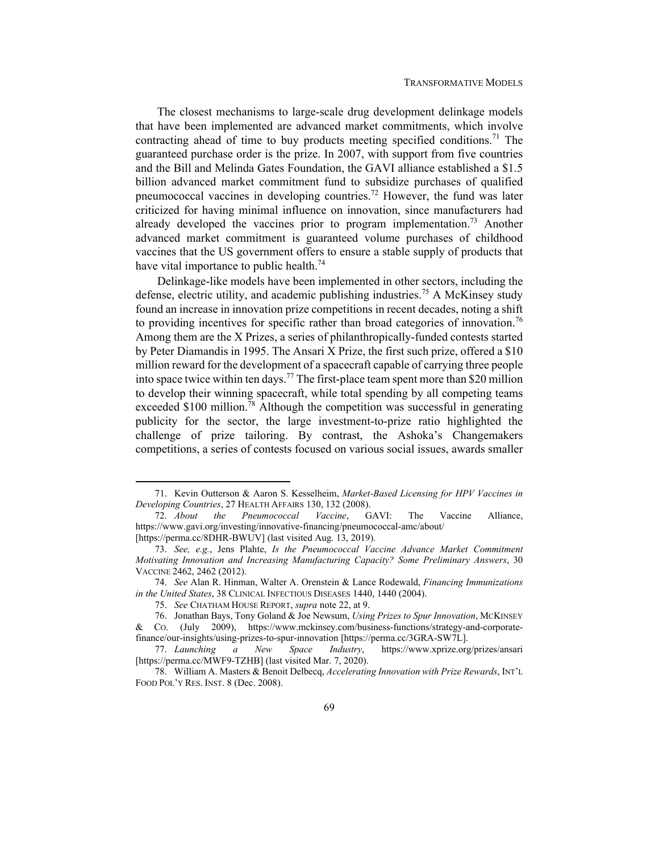The closest mechanisms to large-scale drug development delinkage models that have been implemented are advanced market commitments, which involve contracting ahead of time to buy products meeting specified conditions.<sup>71</sup> The guaranteed purchase order is the prize. In 2007, with support from five countries and the Bill and Melinda Gates Foundation, the GAVI alliance established a \$1.5 billion advanced market commitment fund to subsidize purchases of qualified pneumococcal vaccines in developing countries.<sup>72</sup> However, the fund was later criticized for having minimal influence on innovation, since manufacturers had already developed the vaccines prior to program implementation.<sup>73</sup> Another advanced market commitment is guaranteed volume purchases of childhood vaccines that the US government offers to ensure a stable supply of products that have vital importance to public health.<sup>74</sup>

Delinkage-like models have been implemented in other sectors, including the defense, electric utility, and academic publishing industries.<sup>75</sup> A McKinsey study found an increase in innovation prize competitions in recent decades, noting a shift to providing incentives for specific rather than broad categories of innovation.<sup>76</sup> Among them are the X Prizes, a series of philanthropically-funded contests started by Peter Diamandis in 1995. The Ansari X Prize, the first such prize, offered a \$10 million reward for the development of a spacecraft capable of carrying three people into space twice within ten days.<sup>77</sup> The first-place team spent more than \$20 million to develop their winning spacecraft, while total spending by all competing teams exceeded  $$100$  million.<sup>78</sup> Although the competition was successful in generating publicity for the sector, the large investment-to-prize ratio highlighted the challenge of prize tailoring. By contrast, the Ashoka's Changemakers competitions, a series of contests focused on various social issues, awards smaller

 <sup>71.</sup> Kevin Outterson & Aaron S. Kesselheim, *Market-Based Licensing for HPV Vaccines in Developing Countries*, 27 HEALTH AFFAIRS 130, 132 (2008).

<sup>72.</sup> *About the Pneumococcal Vaccine*, GAVI: The Vaccine Alliance, https://www.gavi.org/investing/innovative-financing/pneumococcal-amc/about/ [https://perma.cc/8DHR-BWUV] (last visited Aug. 13, 2019).

<sup>73.</sup> *See, e.g.*, Jens Plahte, *Is the Pneumococcal Vaccine Advance Market Commitment Motivating Innovation and Increasing Manufacturing Capacity? Some Preliminary Answers*, 30 VACCINE 2462, 2462 (2012).

<sup>74.</sup> *See* Alan R. Hinman, Walter A. Orenstein & Lance Rodewald, *Financing Immunizations in the United States*, 38 CLINICAL INFECTIOUS DISEASES 1440, 1440 (2004).

<sup>75.</sup> *See* CHATHAM HOUSE REPORT, *supra* note 22, at 9.

 <sup>76.</sup> Jonathan Bays, Tony Goland & Joe Newsum, *Using Prizes to Spur Innovation*, MCKINSEY & CO. (July 2009), https://www.mckinsey.com/business-functions/strategy-and-corporatefinance/our-insights/using-prizes-to-spur-innovation [https://perma.cc/3GRA-SW7L].

<sup>77.</sup> *Launching a New Space Industry*, https://www.xprize.org/prizes/ansari [https://perma.cc/MWF9-TZHB] (last visited Mar. 7, 2020).

 <sup>78.</sup> William A. Masters & Benoit Delbecq, *Accelerating Innovation with Prize Rewards*, INT'L FOOD POL'Y RES. INST. 8 (Dec. 2008).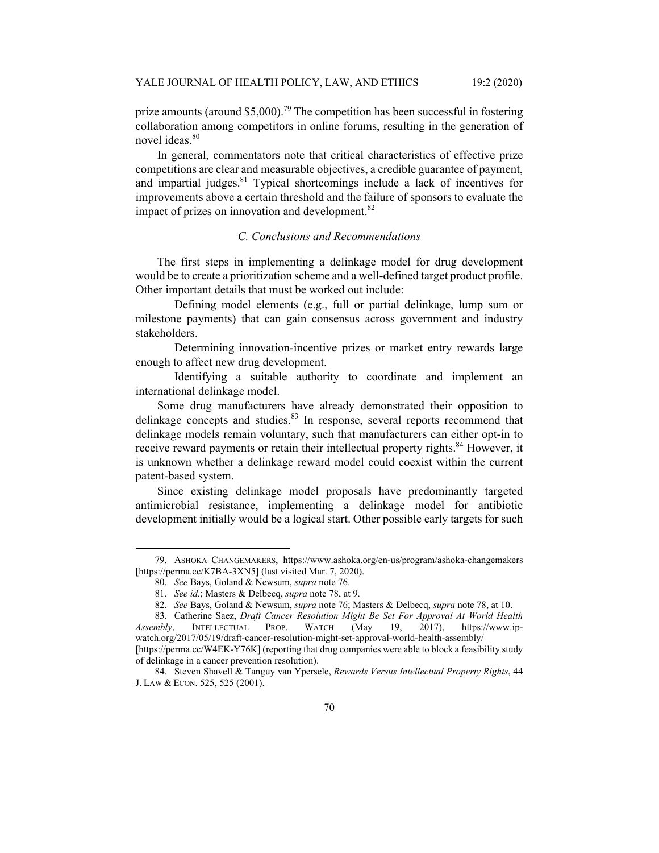prize amounts (around  $$5,000$ ).<sup>79</sup> The competition has been successful in fostering collaboration among competitors in online forums, resulting in the generation of novel ideas.<sup>80</sup>

In general, commentators note that critical characteristics of effective prize competitions are clear and measurable objectives, a credible guarantee of payment, and impartial judges.<sup>81</sup> Typical shortcomings include a lack of incentives for improvements above a certain threshold and the failure of sponsors to evaluate the impact of prizes on innovation and development. $82$ 

## *C. Conclusions and Recommendations*

The first steps in implementing a delinkage model for drug development would be to create a prioritization scheme and a well-defined target product profile. Other important details that must be worked out include:

 Defining model elements (e.g., full or partial delinkage, lump sum or milestone payments) that can gain consensus across government and industry stakeholders.

 Determining innovation-incentive prizes or market entry rewards large enough to affect new drug development.

 Identifying a suitable authority to coordinate and implement an international delinkage model.

Some drug manufacturers have already demonstrated their opposition to delinkage concepts and studies. $83$  In response, several reports recommend that delinkage models remain voluntary, such that manufacturers can either opt-in to receive reward payments or retain their intellectual property rights.<sup>84</sup> However, it is unknown whether a delinkage reward model could coexist within the current patent-based system.

Since existing delinkage model proposals have predominantly targeted antimicrobial resistance, implementing a delinkage model for antibiotic development initially would be a logical start. Other possible early targets for such

 <sup>79.</sup> ASHOKA CHANGEMAKERS, https://www.ashoka.org/en-us/program/ashoka-changemakers [https://perma.cc/K7BA-3XN5] (last visited Mar. 7, 2020).

<sup>80.</sup> *See* Bays, Goland & Newsum, *supra* note 76.

<sup>81.</sup> *See id.*; Masters & Delbecq, *supra* note 78, at 9.

<sup>82.</sup> *See* Bays, Goland & Newsum, *supra* note 76; Masters & Delbecq, *supra* note 78, at 10.

 <sup>83.</sup> Catherine Saez, *Draft Cancer Resolution Might Be Set For Approval At World Health Assembly*, INTELLECTUAL PROP. WATCH (May 19, 2017), https://www.ipwatch.org/2017/05/19/draft-cancer-resolution-might-set-approval-world-health-assembly/

<sup>[</sup>https://perma.cc/W4EK-Y76K] (reporting that drug companies were able to block a feasibility study of delinkage in a cancer prevention resolution).

 <sup>84.</sup> Steven Shavell & Tanguy van Ypersele, *Rewards Versus Intellectual Property Rights*, 44 J. LAW & ECON. 525, 525 (2001).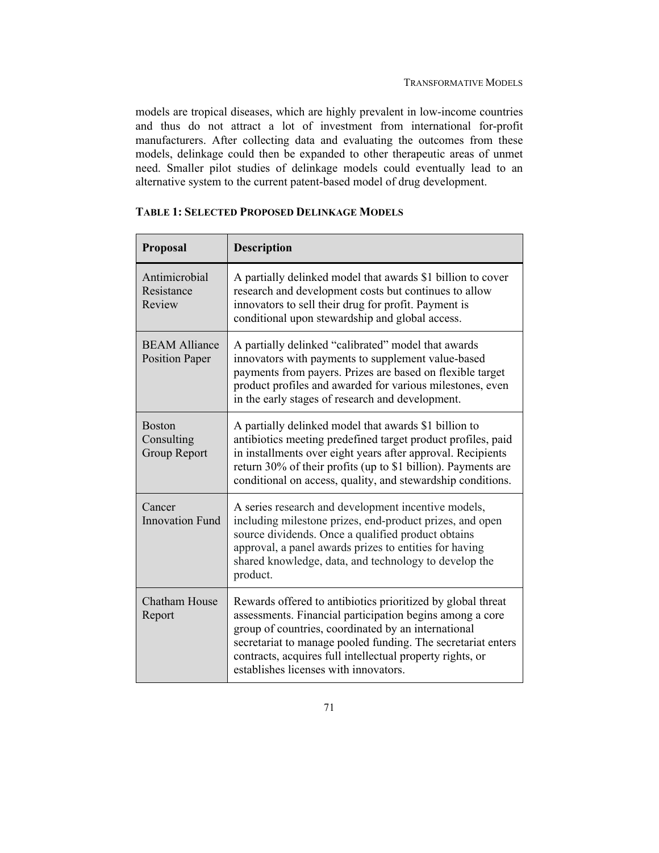models are tropical diseases, which are highly prevalent in low-income countries and thus do not attract a lot of investment from international for-profit manufacturers. After collecting data and evaluating the outcomes from these models, delinkage could then be expanded to other therapeutic areas of unmet need. Smaller pilot studies of delinkage models could eventually lead to an alternative system to the current patent-based model of drug development.

| Proposal                                           | <b>Description</b>                                                                                                                                                                                                                                                                                                                                   |
|----------------------------------------------------|------------------------------------------------------------------------------------------------------------------------------------------------------------------------------------------------------------------------------------------------------------------------------------------------------------------------------------------------------|
| Antimicrobial<br>Resistance<br>Review              | A partially delinked model that awards \$1 billion to cover<br>research and development costs but continues to allow<br>innovators to sell their drug for profit. Payment is<br>conditional upon stewardship and global access.                                                                                                                      |
| <b>BEAM Alliance</b><br><b>Position Paper</b>      | A partially delinked "calibrated" model that awards<br>innovators with payments to supplement value-based<br>payments from payers. Prizes are based on flexible target<br>product profiles and awarded for various milestones, even<br>in the early stages of research and development.                                                              |
| <b>Boston</b><br>Consulting<br><b>Group Report</b> | A partially delinked model that awards \$1 billion to<br>antibiotics meeting predefined target product profiles, paid<br>in installments over eight years after approval. Recipients<br>return 30% of their profits (up to \$1 billion). Payments are<br>conditional on access, quality, and stewardship conditions.                                 |
| Cancer<br><b>Innovation Fund</b>                   | A series research and development incentive models,<br>including milestone prizes, end-product prizes, and open<br>source dividends. Once a qualified product obtains<br>approval, a panel awards prizes to entities for having<br>shared knowledge, data, and technology to develop the<br>product.                                                 |
| <b>Chatham House</b><br>Report                     | Rewards offered to antibiotics prioritized by global threat<br>assessments. Financial participation begins among a core<br>group of countries, coordinated by an international<br>secretariat to manage pooled funding. The secretariat enters<br>contracts, acquires full intellectual property rights, or<br>establishes licenses with innovators. |

## **TABLE 1: SELECTED PROPOSED DELINKAGE MODELS**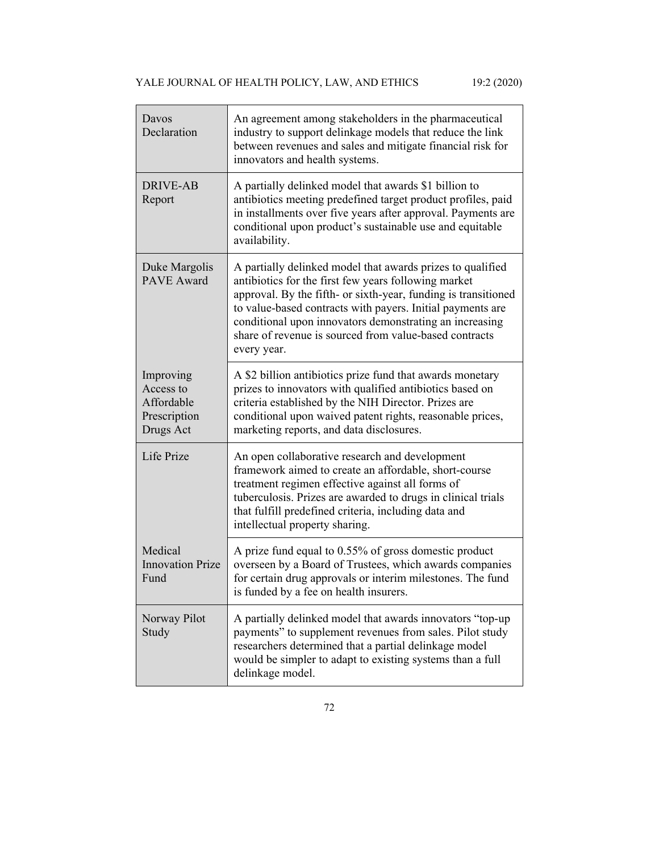| Davos<br>Declaration                                              | An agreement among stakeholders in the pharmaceutical<br>industry to support delinkage models that reduce the link<br>between revenues and sales and mitigate financial risk for<br>innovators and health systems.                                                                                                                                                                     |
|-------------------------------------------------------------------|----------------------------------------------------------------------------------------------------------------------------------------------------------------------------------------------------------------------------------------------------------------------------------------------------------------------------------------------------------------------------------------|
| <b>DRIVE-AB</b><br>Report                                         | A partially delinked model that awards \$1 billion to<br>antibiotics meeting predefined target product profiles, paid<br>in installments over five years after approval. Payments are<br>conditional upon product's sustainable use and equitable<br>availability.                                                                                                                     |
| Duke Margolis<br><b>PAVE</b> Award                                | A partially delinked model that awards prizes to qualified<br>antibiotics for the first few years following market<br>approval. By the fifth- or sixth-year, funding is transitioned<br>to value-based contracts with payers. Initial payments are<br>conditional upon innovators demonstrating an increasing<br>share of revenue is sourced from value-based contracts<br>every year. |
| Improving<br>Access to<br>Affordable<br>Prescription<br>Drugs Act | A \$2 billion antibiotics prize fund that awards monetary<br>prizes to innovators with qualified antibiotics based on<br>criteria established by the NIH Director. Prizes are<br>conditional upon waived patent rights, reasonable prices,<br>marketing reports, and data disclosures.                                                                                                 |
| Life Prize                                                        | An open collaborative research and development<br>framework aimed to create an affordable, short-course<br>treatment regimen effective against all forms of<br>tuberculosis. Prizes are awarded to drugs in clinical trials<br>that fulfill predefined criteria, including data and<br>intellectual property sharing.                                                                  |
| Medical<br><b>Innovation Prize</b><br>Fund                        | A prize fund equal to 0.55% of gross domestic product<br>overseen by a Board of Trustees, which awards companies<br>for certain drug approvals or interim milestones. The fund<br>is funded by a fee on health insurers.                                                                                                                                                               |
| Norway Pilot<br>Study                                             | A partially delinked model that awards innovators "top-up<br>payments" to supplement revenues from sales. Pilot study<br>researchers determined that a partial delinkage model<br>would be simpler to adapt to existing systems than a full<br>delinkage model.                                                                                                                        |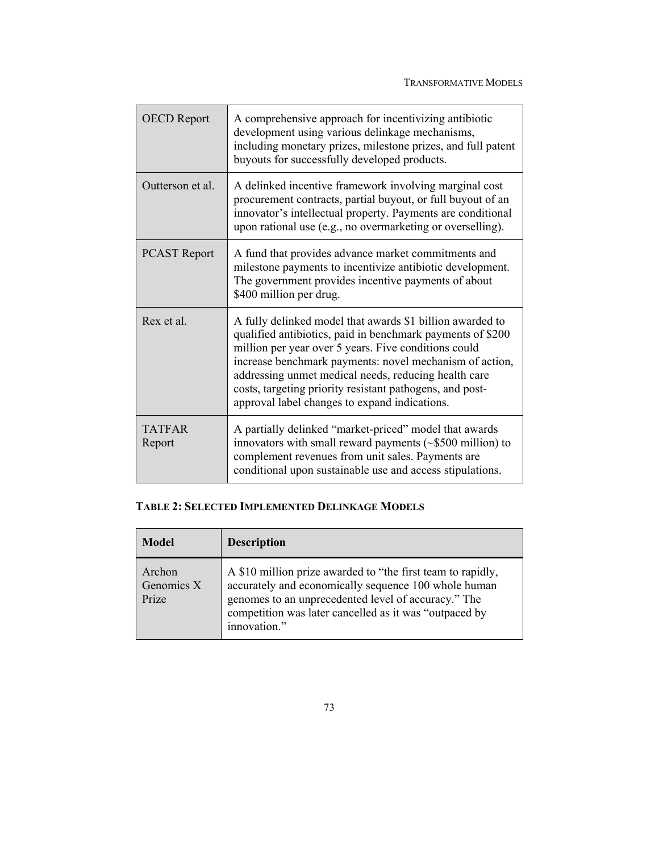| <b>OECD</b> Report      | A comprehensive approach for incentivizing antibiotic<br>development using various delinkage mechanisms,<br>including monetary prizes, milestone prizes, and full patent<br>buyouts for successfully developed products.                                                                                                                                                                                        |
|-------------------------|-----------------------------------------------------------------------------------------------------------------------------------------------------------------------------------------------------------------------------------------------------------------------------------------------------------------------------------------------------------------------------------------------------------------|
| Outterson et al.        | A delinked incentive framework involving marginal cost<br>procurement contracts, partial buyout, or full buyout of an<br>innovator's intellectual property. Payments are conditional<br>upon rational use (e.g., no overmarketing or overselling).                                                                                                                                                              |
| <b>PCAST Report</b>     | A fund that provides advance market commitments and<br>milestone payments to incentivize antibiotic development.<br>The government provides incentive payments of about<br>\$400 million per drug.                                                                                                                                                                                                              |
| Rex et al.              | A fully delinked model that awards \$1 billion awarded to<br>qualified antibiotics, paid in benchmark payments of \$200<br>million per year over 5 years. Five conditions could<br>increase benchmark payments: novel mechanism of action,<br>addressing unmet medical needs, reducing health care<br>costs, targeting priority resistant pathogens, and post-<br>approval label changes to expand indications. |
| <b>TATFAR</b><br>Report | A partially delinked "market-priced" model that awards<br>innovators with small reward payments $(\sim $500$ million) to<br>complement revenues from unit sales. Payments are<br>conditional upon sustainable use and access stipulations.                                                                                                                                                                      |

# **TABLE 2: SELECTED IMPLEMENTED DELINKAGE MODELS**

| <b>Model</b>                  | <b>Description</b>                                                                                                                                                                                                                                   |
|-------------------------------|------------------------------------------------------------------------------------------------------------------------------------------------------------------------------------------------------------------------------------------------------|
| Archon<br>Genomics X<br>Prize | A \$10 million prize awarded to "the first team to rapidly,<br>accurately and economically sequence 100 whole human<br>genomes to an unprecedented level of accuracy." The<br>competition was later cancelled as it was "outpaced by<br>innovation." |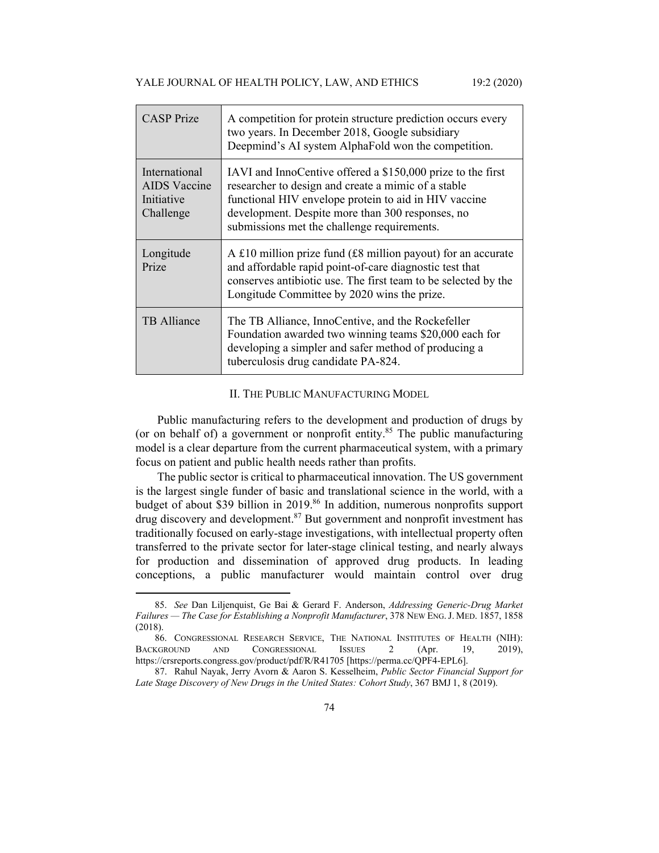| <b>CASP</b> Prize                                        | A competition for protein structure prediction occurs every<br>two years. In December 2018, Google subsidiary<br>Deepmind's AI system AlphaFold won the competition.                                                                                                           |
|----------------------------------------------------------|--------------------------------------------------------------------------------------------------------------------------------------------------------------------------------------------------------------------------------------------------------------------------------|
| International<br>AIDS Vaccine<br>Initiative<br>Challenge | IAVI and InnoCentive offered a \$150,000 prize to the first<br>researcher to design and create a mimic of a stable<br>functional HIV envelope protein to aid in HIV vaccine<br>development. Despite more than 300 responses, no<br>submissions met the challenge requirements. |
| Longitude<br>Prize                                       | A £10 million prize fund (£8 million payout) for an accurate<br>and affordable rapid point-of-care diagnostic test that<br>conserves antibiotic use. The first team to be selected by the<br>Longitude Committee by 2020 wins the prize.                                       |
| <b>TB</b> Alliance                                       | The TB Alliance, InnoCentive, and the Rockefeller<br>Foundation awarded two winning teams \$20,000 each for<br>developing a simpler and safer method of producing a<br>tuberculosis drug candidate PA-824.                                                                     |

#### II. THE PUBLIC MANUFACTURING MODEL

Public manufacturing refers to the development and production of drugs by (or on behalf of) a government or nonprofit entity.<sup>85</sup> The public manufacturing model is a clear departure from the current pharmaceutical system, with a primary focus on patient and public health needs rather than profits.

The public sector is critical to pharmaceutical innovation. The US government is the largest single funder of basic and translational science in the world, with a budget of about \$39 billion in 2019.<sup>86</sup> In addition, numerous nonprofits support  $\frac{1}{2}$  discovery and development.<sup>87</sup> But government and nonprofit investment has traditionally focused on early-stage investigations, with intellectual property often transferred to the private sector for later-stage clinical testing, and nearly always for production and dissemination of approved drug products. In leading conceptions, a public manufacturer would maintain control over drug

<sup>85.</sup> *See* Dan Liljenquist, Ge Bai & Gerard F. Anderson, *Addressing Generic-Drug Market Failures — The Case for Establishing a Nonprofit Manufacturer*, 378 NEW ENG.J. MED. 1857, 1858 (2018).

 <sup>86.</sup> CONGRESSIONAL RESEARCH SERVICE, THE NATIONAL INSTITUTES OF HEALTH (NIH): BACKGROUND AND CONGRESSIONAL ISSUES 2 (Apr. 19, 2019), https://crsreports.congress.gov/product/pdf/R/R41705 [https://perma.cc/QPF4-EPL6].

 <sup>87.</sup> Rahul Nayak, Jerry Avorn & Aaron S. Kesselheim, *Public Sector Financial Support for Late Stage Discovery of New Drugs in the United States: Cohort Study*, 367 BMJ 1, 8 (2019).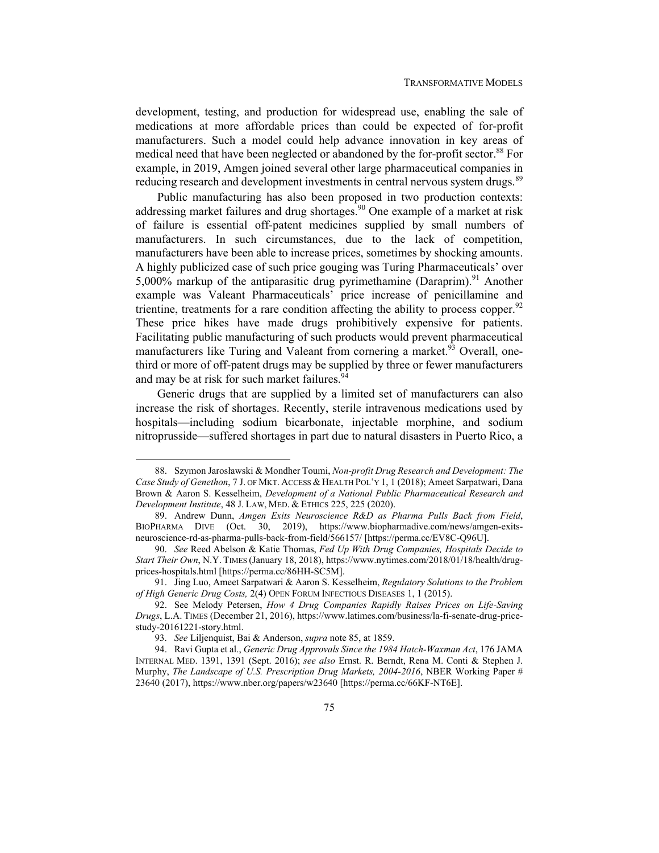development, testing, and production for widespread use, enabling the sale of medications at more affordable prices than could be expected of for-profit manufacturers. Such a model could help advance innovation in key areas of medical need that have been neglected or abandoned by the for-profit sector.<sup>88</sup> For example, in 2019, Amgen joined several other large pharmaceutical companies in reducing research and development investments in central nervous system drugs.<sup>89</sup>

Public manufacturing has also been proposed in two production contexts: addressing market failures and drug shortages.<sup>90</sup> One example of a market at risk of failure is essential off-patent medicines supplied by small numbers of manufacturers. In such circumstances, due to the lack of competition, manufacturers have been able to increase prices, sometimes by shocking amounts. A highly publicized case of such price gouging was Turing Pharmaceuticals' over 5,000% markup of the antiparasitic drug pyrimethamine (Daraprim).<sup>91</sup> Another example was Valeant Pharmaceuticals' price increase of penicillamine and trientine, treatments for a rare condition affecting the ability to process copper.<sup>92</sup> These price hikes have made drugs prohibitively expensive for patients. Facilitating public manufacturing of such products would prevent pharmaceutical manufacturers like Turing and Valeant from cornering a market.<sup>93</sup> Overall, onethird or more of off-patent drugs may be supplied by three or fewer manufacturers and may be at risk for such market failures.<sup>94</sup>

Generic drugs that are supplied by a limited set of manufacturers can also increase the risk of shortages. Recently, sterile intravenous medications used by hospitals—including sodium bicarbonate, injectable morphine, and sodium nitroprusside—suffered shortages in part due to natural disasters in Puerto Rico, a

 <sup>88.</sup> Szymon Jarosławski & Mondher Toumi, *Non-profit Drug Research and Development: The Case Study of Genethon*, 7 J. OF MKT. ACCESS & HEALTH POL'Y 1, 1 (2018); Ameet Sarpatwari, Dana Brown & Aaron S. Kesselheim, *Development of a National Public Pharmaceutical Research and Development Institute*, 48 J. LAW, MED. & ETHICS 225, 225 (2020).

 <sup>89.</sup> Andrew Dunn, *Amgen Exits Neuroscience R&D as Pharma Pulls Back from Field*, BIOPHARMA DIVE (Oct. 30, 2019), https://www.biopharmadive.com/news/amgen-exitsneuroscience-rd-as-pharma-pulls-back-from-field/566157/ [https://perma.cc/EV8C-Q96U].

<sup>90.</sup> *See* Reed Abelson & Katie Thomas, *Fed Up With Drug Companies, Hospitals Decide to Start Their Own*, N.Y. TIMES (January 18, 2018), https://www.nytimes.com/2018/01/18/health/drugprices-hospitals.html [https://perma.cc/86HH-SC5M].

 <sup>91.</sup> Jing Luo, Ameet Sarpatwari & Aaron S. Kesselheim, *Regulatory Solutions to the Problem of High Generic Drug Costs,* 2(4) OPEN FORUM INFECTIOUS DISEASES 1, 1 (2015).

 <sup>92.</sup> See Melody Petersen, *How 4 Drug Companies Rapidly Raises Prices on Life-Saving Drugs*, L.A. TIMES (December 21, 2016), https://www.latimes.com/business/la-fi-senate-drug-pricestudy-20161221-story.html.

<sup>93.</sup> *See* Liljenquist, Bai & Anderson, *supra* note 85, at 1859.

 <sup>94.</sup> Ravi Gupta et al., *Generic Drug Approvals Since the 1984 Hatch-Waxman Act*, 176 JAMA INTERNAL MED. 1391, 1391 (Sept. 2016); *see also* Ernst. R. Berndt, Rena M. Conti & Stephen J. Murphy, *The Landscape of U.S. Prescription Drug Markets, 2004-2016*, NBER Working Paper # 23640 (2017), https://www.nber.org/papers/w23640 [https://perma.cc/66KF-NT6E].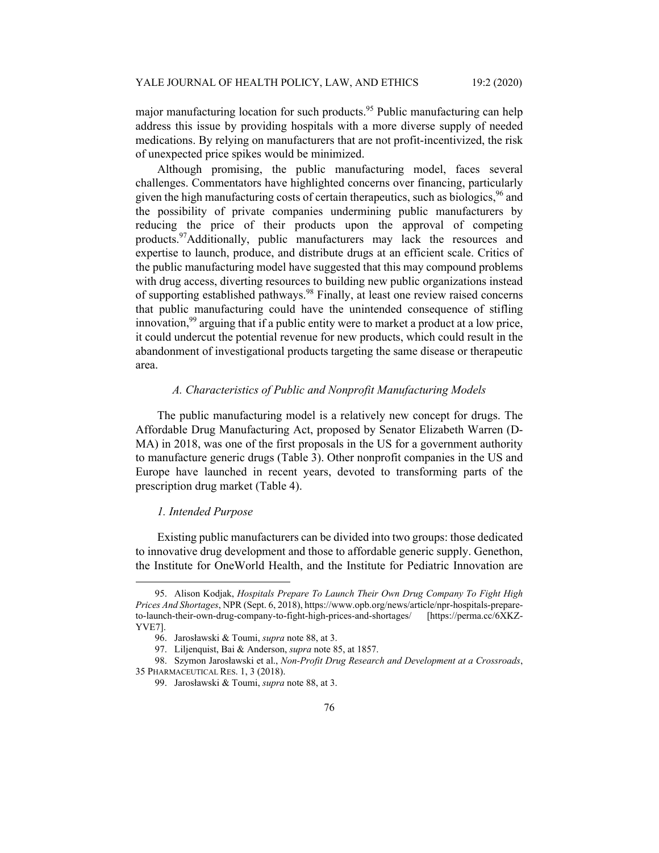major manufacturing location for such products.<sup>95</sup> Public manufacturing can help address this issue by providing hospitals with a more diverse supply of needed medications. By relying on manufacturers that are not profit-incentivized, the risk of unexpected price spikes would be minimized.

Although promising, the public manufacturing model, faces several challenges. Commentators have highlighted concerns over financing, particularly given the high manufacturing costs of certain therapeutics, such as biologics,  $96$  and the possibility of private companies undermining public manufacturers by reducing the price of their products upon the approval of competing products.<sup>97</sup>Additionally, public manufacturers may lack the resources and expertise to launch, produce, and distribute drugs at an efficient scale. Critics of the public manufacturing model have suggested that this may compound problems with drug access, diverting resources to building new public organizations instead of supporting established pathways.98 Finally, at least one review raised concerns that public manufacturing could have the unintended consequence of stifling innovation,  $99$  arguing that if a public entity were to market a product at a low price, it could undercut the potential revenue for new products, which could result in the abandonment of investigational products targeting the same disease or therapeutic area.

# *A. Characteristics of Public and Nonprofit Manufacturing Models*

The public manufacturing model is a relatively new concept for drugs. The Affordable Drug Manufacturing Act, proposed by Senator Elizabeth Warren (D-MA) in 2018, was one of the first proposals in the US for a government authority to manufacture generic drugs (Table 3). Other nonprofit companies in the US and Europe have launched in recent years, devoted to transforming parts of the prescription drug market (Table 4).

#### *1. Intended Purpose*

Existing public manufacturers can be divided into two groups: those dedicated to innovative drug development and those to affordable generic supply. Genethon, the Institute for OneWorld Health, and the Institute for Pediatric Innovation are

 <sup>95.</sup> Alison Kodjak, *Hospitals Prepare To Launch Their Own Drug Company To Fight High Prices And Shortages*, NPR (Sept. 6, 2018), https://www.opb.org/news/article/npr-hospitals-prepareto-launch-their-own-drug-company-to-fight-high-prices-and-shortages/ [https://perma.cc/6XKZ-YVE7].

 <sup>96.</sup> Jarosławski & Toumi, *supra* note 88, at 3.

 <sup>97.</sup> Liljenquist, Bai & Anderson, *supra* note 85, at 1857.

 <sup>98.</sup> Szymon Jarosławski et al., *Non-Profit Drug Research and Development at a Crossroads*, 35 PHARMACEUTICAL RES. 1, 3 (2018).

 <sup>99.</sup> Jarosławski & Toumi, *supra* note 88, at 3.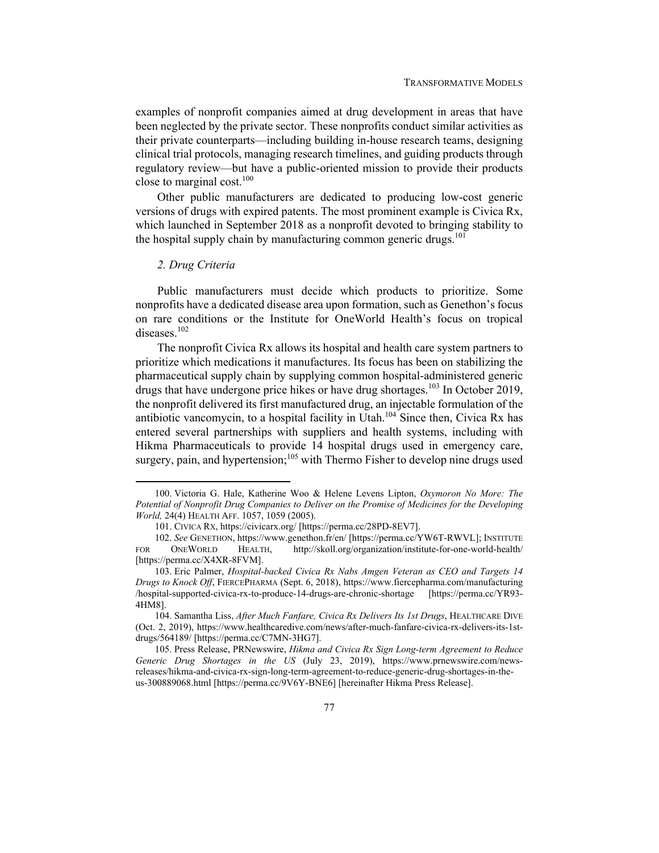examples of nonprofit companies aimed at drug development in areas that have been neglected by the private sector. These nonprofits conduct similar activities as their private counterparts—including building in-house research teams, designing clinical trial protocols, managing research timelines, and guiding products through regulatory review—but have a public-oriented mission to provide their products close to marginal cost. $100$ 

Other public manufacturers are dedicated to producing low-cost generic versions of drugs with expired patents. The most prominent example is Civica Rx, which launched in September 2018 as a nonprofit devoted to bringing stability to the hospital supply chain by manufacturing common generic drugs.<sup>101</sup>

### *2. Drug Criteria*

Public manufacturers must decide which products to prioritize. Some nonprofits have a dedicated disease area upon formation, such as Genethon's focus on rare conditions or the Institute for OneWorld Health's focus on tropical diseases.<sup>102</sup>

The nonprofit Civica Rx allows its hospital and health care system partners to prioritize which medications it manufactures. Its focus has been on stabilizing the pharmaceutical supply chain by supplying common hospital-administered generic drugs that have undergone price hikes or have drug shortages.<sup>103</sup> In October 2019, the nonprofit delivered its first manufactured drug, an injectable formulation of the antibiotic vancomycin, to a hospital facility in Utah.<sup>104</sup> Since then, Civica Rx has entered several partnerships with suppliers and health systems, including with Hikma Pharmaceuticals to provide 14 hospital drugs used in emergency care, surgery, pain, and hypertension;<sup>105</sup> with Thermo Fisher to develop nine drugs used

 <sup>100.</sup> Victoria G. Hale, Katherine Woo & Helene Levens Lipton, *Oxymoron No More: The Potential of Nonprofit Drug Companies to Deliver on the Promise of Medicines for the Developing World,* 24(4) HEALTH AFF. 1057, 1059 (2005).

 <sup>101.</sup> CIVICA RX, https://civicarx.org/ [https://perma.cc/28PD-8EV7].

<sup>102.</sup> *See* GENETHON, https://www.genethon.fr/en/ [https://perma.cc/YW6T-RWVL]; INSTITUTE FOR ONEWORLD HEALTH, http://skoll.org/organization/institute-for-one-world-health/ [https://perma.cc/X4XR-8FVM].

 <sup>103.</sup> Eric Palmer, *Hospital-backed Civica Rx Nabs Amgen Veteran as CEO and Targets 14 Drugs to Knock Off*, FIERCEPHARMA (Sept. 6, 2018), https://www.fiercepharma.com/manufacturing /hospital-supported-civica-rx-to-produce-14-drugs-are-chronic-shortage [https://perma.cc/YR93- 4HM8].

 <sup>104.</sup> Samantha Liss, *After Much Fanfare, Civica Rx Delivers Its 1st Drugs*, HEALTHCARE DIVE (Oct. 2, 2019), https://www.healthcaredive.com/news/after-much-fanfare-civica-rx-delivers-its-1stdrugs/564189/ [https://perma.cc/C7MN-3HG7].

 <sup>105.</sup> Press Release, PRNewswire, *Hikma and Civica Rx Sign Long-term Agreement to Reduce Generic Drug Shortages in the US* (July 23, 2019), https://www.prnewswire.com/newsreleases/hikma-and-civica-rx-sign-long-term-agreement-to-reduce-generic-drug-shortages-in-theus-300889068.html [https://perma.cc/9V6Y-BNE6] [hereinafter Hikma Press Release].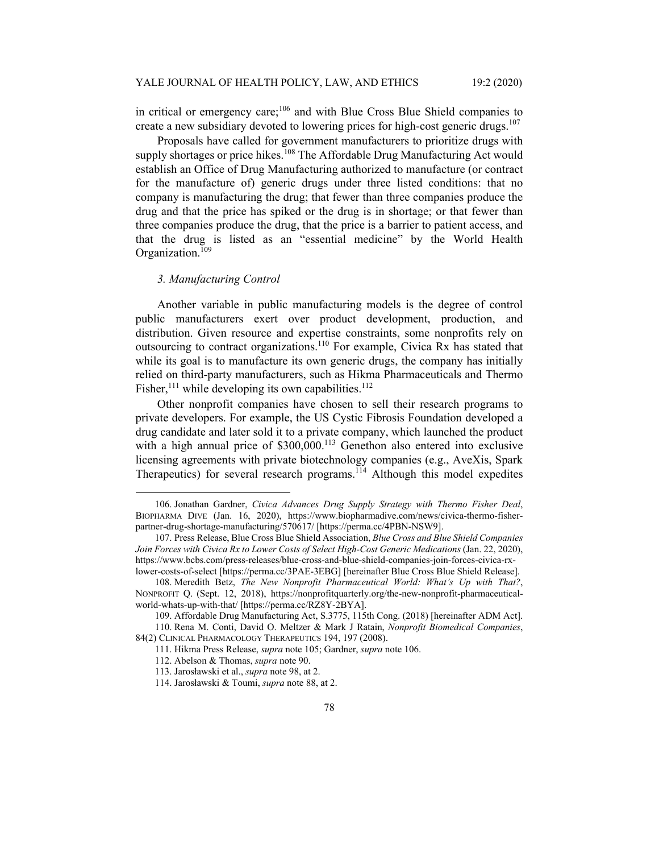in critical or emergency care;<sup>106</sup> and with Blue Cross Blue Shield companies to create a new subsidiary devoted to lowering prices for high-cost generic drugs.<sup>107</sup>

Proposals have called for government manufacturers to prioritize drugs with supply shortages or price hikes.<sup>108</sup> The Affordable Drug Manufacturing Act would establish an Office of Drug Manufacturing authorized to manufacture (or contract for the manufacture of) generic drugs under three listed conditions: that no company is manufacturing the drug; that fewer than three companies produce the drug and that the price has spiked or the drug is in shortage; or that fewer than three companies produce the drug, that the price is a barrier to patient access, and that the drug is listed as an "essential medicine" by the World Health Organization.<sup>109</sup>

## *3. Manufacturing Control*

Another variable in public manufacturing models is the degree of control public manufacturers exert over product development, production, and distribution. Given resource and expertise constraints, some nonprofits rely on outsourcing to contract organizations.110 For example, Civica Rx has stated that while its goal is to manufacture its own generic drugs, the company has initially relied on third-party manufacturers, such as Hikma Pharmaceuticals and Thermo Fisher,<sup>111</sup> while developing its own capabilities.<sup>112</sup>

Other nonprofit companies have chosen to sell their research programs to private developers. For example, the US Cystic Fibrosis Foundation developed a drug candidate and later sold it to a private company, which launched the product with a high annual price of  $$300,000$ .<sup>113</sup> Genethon also entered into exclusive licensing agreements with private biotechnology companies (e.g., AveXis, Spark Therapeutics) for several research programs.<sup>114</sup> Although this model expedites

 <sup>106.</sup> Jonathan Gardner, *Civica Advances Drug Supply Strategy with Thermo Fisher Deal*, BIOPHARMA DIVE (Jan. 16, 2020), https://www.biopharmadive.com/news/civica-thermo-fisherpartner-drug-shortage-manufacturing/570617/ [https://perma.cc/4PBN-NSW9].

 <sup>107.</sup> Press Release, Blue Cross Blue Shield Association, *Blue Cross and Blue Shield Companies Join Forces with Civica Rx to Lower Costs of Select High-Cost Generic Medications* (Jan. 22, 2020), https://www.bcbs.com/press-releases/blue-cross-and-blue-shield-companies-join-forces-civica-rxlower-costs-of-select [https://perma.cc/3PAE-3EBG] [hereinafter Blue Cross Blue Shield Release].

 <sup>108.</sup> Meredith Betz, *The New Nonprofit Pharmaceutical World: What's Up with That?*, NONPROFIT Q. (Sept. 12, 2018), https://nonprofitquarterly.org/the-new-nonprofit-pharmaceuticalworld-whats-up-with-that/ [https://perma.cc/RZ8Y-2BYA].

 <sup>109.</sup> Affordable Drug Manufacturing Act, S.3775, 115th Cong. (2018) [hereinafter ADM Act].

 <sup>110.</sup> Rena M. Conti, David O. Meltzer & Mark J Ratain, *Nonprofit Biomedical Companies*, 84(2) CLINICAL PHARMACOLOGY THERAPEUTICS 194, 197 (2008).

 <sup>111.</sup> Hikma Press Release, *supra* note 105; Gardner, *supra* note 106.

 <sup>112.</sup> Abelson & Thomas, *supra* note 90.

 <sup>113.</sup> Jarosławski et al., *supra* note 98, at 2.

 <sup>114.</sup> Jarosławski & Toumi, *supra* note 88, at 2.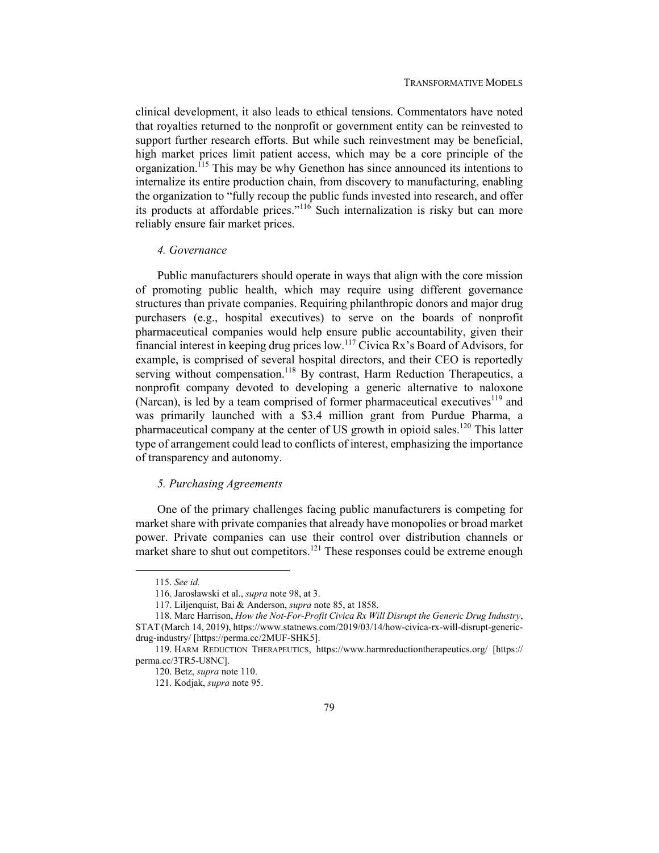clinical development, it also leads to ethical tensions. Commentators have noted that royalties returned to the nonprofit or government entity can be reinvested to support further research efforts. But while such reinvestment may be beneficial, high market prices limit patient access, which may be a core principle of the organization.<sup>115</sup> This may be why Genethon has since announced its intentions to internalize its entire production chain, from discovery to manufacturing, enabling the organization to "fully recoup the public funds invested into research, and offer its products at affordable prices."<sup>116</sup> Such internalization is risky but can more reliably ensure fair market prices.

#### *4. Governance*

Public manufacturers should operate in ways that align with the core mission of promoting public health, which may require using different governance structures than private companies. Requiring philanthropic donors and major drug purchasers (e.g., hospital executives) to serve on the boards of nonprofit pharmaceutical companies would help ensure public accountability, given their financial interest in keeping drug prices low.117 Civica Rx's Board of Advisors, for example, is comprised of several hospital directors, and their CEO is reportedly serving without compensation.<sup>118</sup> By contrast, Harm Reduction Therapeutics, a nonprofit company devoted to developing a generic alternative to naloxone (Narcan), is led by a team comprised of former pharmaceutical executives<sup>119</sup> and was primarily launched with a \$3.4 million grant from Purdue Pharma, a pharmaceutical company at the center of US growth in opioid sales.<sup>120</sup> This latter type of arrangement could lead to conflicts of interest, emphasizing the importance of transparency and autonomy.

#### *5. Purchasing Agreements*

One of the primary challenges facing public manufacturers is competing for market share with private companies that already have monopolies or broad market power. Private companies can use their control over distribution channels or market share to shut out competitors.<sup>121</sup> These responses could be extreme enough

<sup>115.</sup> *See id.*

 <sup>116.</sup> Jarosławski et al., *supra* note 98, at 3.

 <sup>117.</sup> Liljenquist, Bai & Anderson, *supra* note 85, at 1858.

 <sup>118.</sup> Marc Harrison, *How the Not-For-Profit Civica Rx Will Disrupt the Generic Drug Industry*, STAT (March 14, 2019), https://www.statnews.com/2019/03/14/how-civica-rx-will-disrupt-genericdrug-industry/ [https://perma.cc/2MUF-SHK5].

 <sup>119.</sup> HARM REDUCTION THERAPEUTICS, https://www.harmreductiontherapeutics.org/ [https:// perma.cc/3TR5-U8NC].

 <sup>120.</sup> Betz, *supra* note 110.

 <sup>121.</sup> Kodjak, *supra* note 95.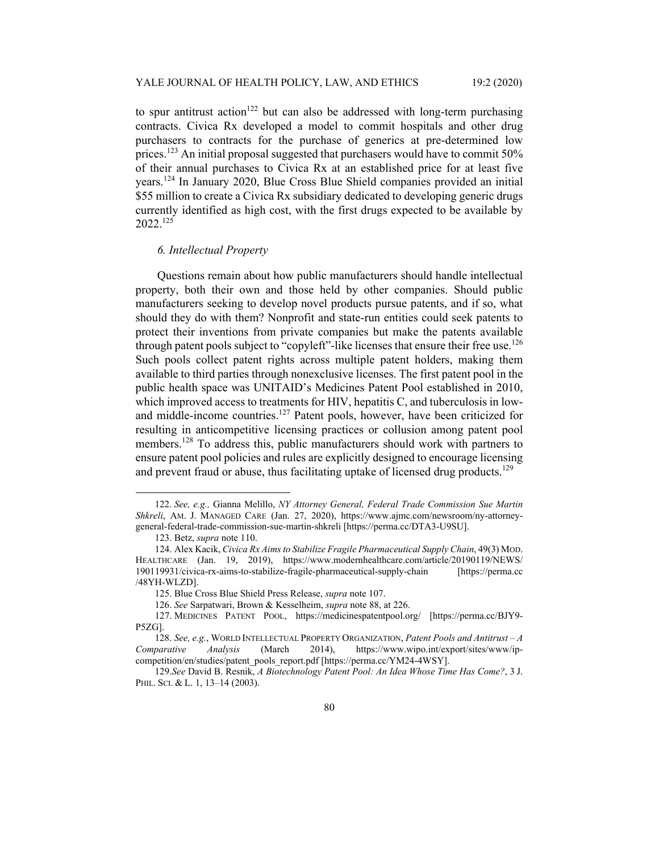to spur antitrust action<sup>122</sup> but can also be addressed with long-term purchasing contracts. Civica Rx developed a model to commit hospitals and other drug purchasers to contracts for the purchase of generics at pre-determined low prices.<sup>123</sup> An initial proposal suggested that purchasers would have to commit 50% of their annual purchases to Civica Rx at an established price for at least five years.124 In January 2020, Blue Cross Blue Shield companies provided an initial \$55 million to create a Civica Rx subsidiary dedicated to developing generic drugs currently identified as high cost, with the first drugs expected to be available by 2022.125

### *6. Intellectual Property*

Questions remain about how public manufacturers should handle intellectual property, both their own and those held by other companies. Should public manufacturers seeking to develop novel products pursue patents, and if so, what should they do with them? Nonprofit and state-run entities could seek patents to protect their inventions from private companies but make the patents available through patent pools subject to "copyleft"-like licenses that ensure their free use.<sup>126</sup> Such pools collect patent rights across multiple patent holders, making them available to third parties through nonexclusive licenses. The first patent pool in the public health space was UNITAID's Medicines Patent Pool established in 2010, which improved access to treatments for HIV, hepatitis C, and tuberculosis in lowand middle-income countries.<sup>127</sup> Patent pools, however, have been criticized for resulting in anticompetitive licensing practices or collusion among patent pool members.<sup>128</sup> To address this, public manufacturers should work with partners to ensure patent pool policies and rules are explicitly designed to encourage licensing and prevent fraud or abuse, thus facilitating uptake of licensed drug products.<sup>129</sup>

<sup>122.</sup> *See, e.g.,* Gianna Melillo, *NY Attorney General, Federal Trade Commission Sue Martin Shkreli*, AM. J. MANAGED CARE (Jan. 27, 2020), https://www.ajmc.com/newsroom/ny-attorneygeneral-federal-trade-commission-sue-martin-shkreli [https://perma.cc/DTA3-U9SU].

 <sup>123.</sup> Betz, *supra* note 110.

 <sup>124.</sup> Alex Kacik, *Civica Rx Aims to Stabilize Fragile Pharmaceutical Supply Chain*, 49(3) MOD. HEALTHCARE (Jan. 19, 2019), https://www.modernhealthcare.com/article/20190119/NEWS/ 190119931/civica-rx-aims-to-stabilize-fragile-pharmaceutical-supply-chain [https://perma.cc /48YH-WLZD].

 <sup>125.</sup> Blue Cross Blue Shield Press Release, *supra* note 107.

<sup>126.</sup> *See* Sarpatwari, Brown & Kesselheim, *supra* note 88, at 226.

 <sup>127.</sup> MEDICINES PATENT POOL, https://medicinespatentpool.org/ [https://perma.cc/BJY9- P5ZG].

<sup>128.</sup> *See, e.g.*, WORLD INTELLECTUAL PROPERTY ORGANIZATION, *Patent Pools and Antitrust – A Comparative Analysis* (March 2014), https://www.wipo.int/export/sites/www/ipcompetition/en/studies/patent\_pools\_report.pdf [https://perma.cc/YM24-4WSY].

<sup>129.</sup>*See* David B. Resnik, *A Biotechnology Patent Pool: An Idea Whose Time Has Come?*, 3 J. PHIL. SCI. & L. 1, 13-14 (2003).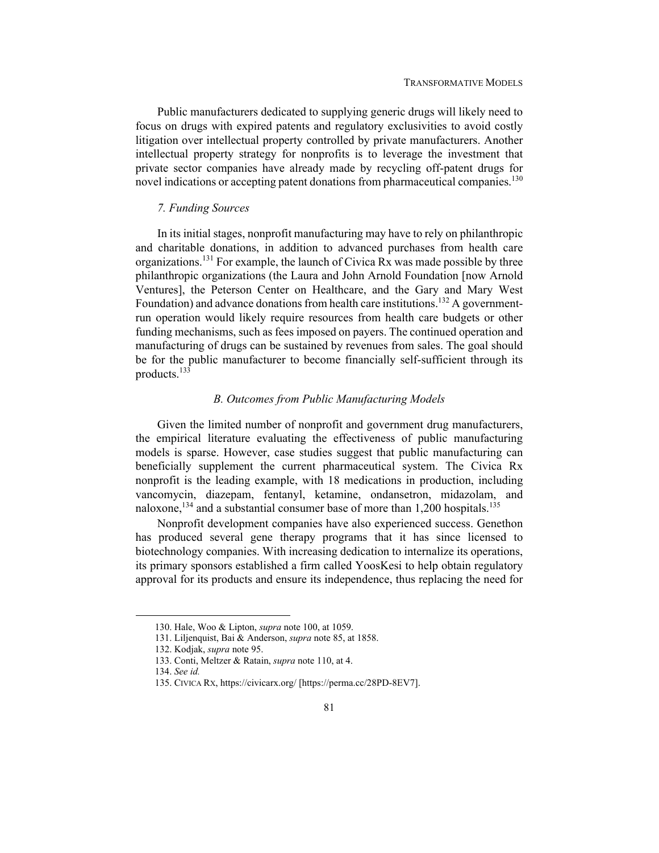Public manufacturers dedicated to supplying generic drugs will likely need to focus on drugs with expired patents and regulatory exclusivities to avoid costly litigation over intellectual property controlled by private manufacturers. Another intellectual property strategy for nonprofits is to leverage the investment that private sector companies have already made by recycling off-patent drugs for novel indications or accepting patent donations from pharmaceutical companies.<sup>130</sup>

## *7. Funding Sources*

In its initial stages, nonprofit manufacturing may have to rely on philanthropic and charitable donations, in addition to advanced purchases from health care organizations.<sup>131</sup> For example, the launch of Civica Rx was made possible by three philanthropic organizations (the Laura and John Arnold Foundation [now Arnold Ventures], the Peterson Center on Healthcare, and the Gary and Mary West Foundation) and advance donations from health care institutions.<sup>132</sup> A governmentrun operation would likely require resources from health care budgets or other funding mechanisms, such as fees imposed on payers. The continued operation and manufacturing of drugs can be sustained by revenues from sales. The goal should be for the public manufacturer to become financially self-sufficient through its products.133

## *B. Outcomes from Public Manufacturing Models*

Given the limited number of nonprofit and government drug manufacturers, the empirical literature evaluating the effectiveness of public manufacturing models is sparse. However, case studies suggest that public manufacturing can beneficially supplement the current pharmaceutical system. The Civica Rx nonprofit is the leading example, with 18 medications in production, including vancomycin, diazepam, fentanyl, ketamine, ondansetron, midazolam, and naloxone,<sup>134</sup> and a substantial consumer base of more than  $1,200$  hospitals.<sup>135</sup>

Nonprofit development companies have also experienced success. Genethon has produced several gene therapy programs that it has since licensed to biotechnology companies. With increasing dedication to internalize its operations, its primary sponsors established a firm called YoosKesi to help obtain regulatory approval for its products and ensure its independence, thus replacing the need for

 <sup>130.</sup> Hale, Woo & Lipton, *supra* note 100, at 1059.

 <sup>131.</sup> Liljenquist, Bai & Anderson, *supra* note 85, at 1858.

 <sup>132.</sup> Kodjak, *supra* note 95.

 <sup>133.</sup> Conti, Meltzer & Ratain, *supra* note 110, at 4.

<sup>134.</sup> *See id.*

 <sup>135.</sup> CIVICA RX, https://civicarx.org/ [https://perma.cc/28PD-8EV7].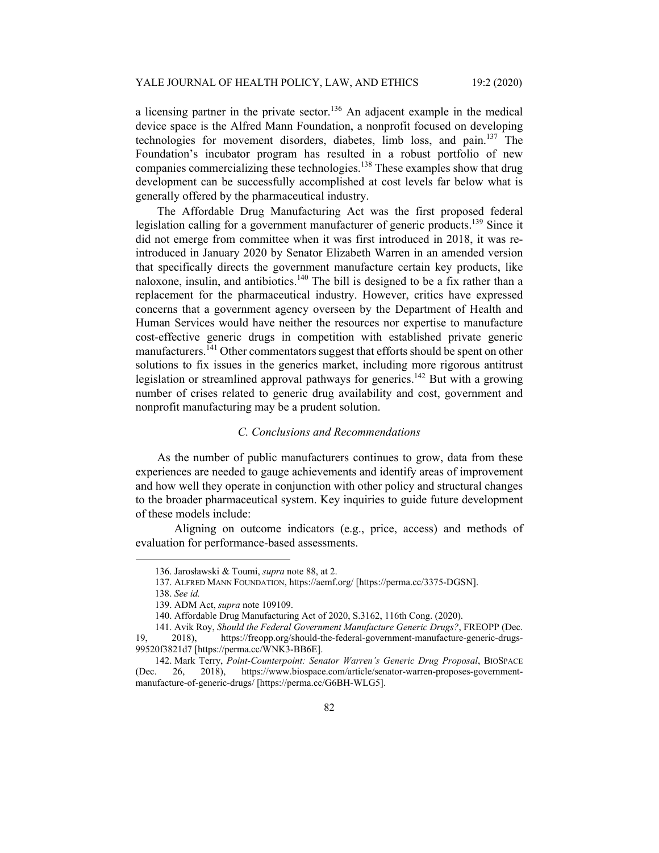a licensing partner in the private sector.<sup>136</sup> An adjacent example in the medical device space is the Alfred Mann Foundation, a nonprofit focused on developing technologies for movement disorders, diabetes, limb loss, and pain.137 The Foundation's incubator program has resulted in a robust portfolio of new companies commercializing these technologies.<sup>138</sup> These examples show that drug development can be successfully accomplished at cost levels far below what is generally offered by the pharmaceutical industry.

The Affordable Drug Manufacturing Act was the first proposed federal legislation calling for a government manufacturer of generic products.<sup>139</sup> Since it did not emerge from committee when it was first introduced in 2018, it was reintroduced in January 2020 by Senator Elizabeth Warren in an amended version that specifically directs the government manufacture certain key products, like naloxone, insulin, and antibiotics.<sup>140</sup> The bill is designed to be a fix rather than a replacement for the pharmaceutical industry. However, critics have expressed concerns that a government agency overseen by the Department of Health and Human Services would have neither the resources nor expertise to manufacture cost-effective generic drugs in competition with established private generic manufacturers.<sup>141</sup> Other commentators suggest that efforts should be spent on other solutions to fix issues in the generics market, including more rigorous antitrust legislation or streamlined approval pathways for generics.<sup>142</sup> But with a growing number of crises related to generic drug availability and cost, government and nonprofit manufacturing may be a prudent solution.

## *C. Conclusions and Recommendations*

As the number of public manufacturers continues to grow, data from these experiences are needed to gauge achievements and identify areas of improvement and how well they operate in conjunction with other policy and structural changes to the broader pharmaceutical system. Key inquiries to guide future development of these models include:

 Aligning on outcome indicators (e.g., price, access) and methods of evaluation for performance-based assessments.

 <sup>136.</sup> Jarosławski & Toumi, *supra* note 88, at 2.

 <sup>137.</sup> ALFRED MANN FOUNDATION, https://aemf.org/ [https://perma.cc/3375-DGSN].

<sup>138.</sup> *See id.*

 <sup>139.</sup> ADM Act, *supra* note 109109.

 <sup>140.</sup> Affordable Drug Manufacturing Act of 2020, S.3162, 116th Cong. (2020).

 <sup>141.</sup> Avik Roy, *Should the Federal Government Manufacture Generic Drugs?*, FREOPP (Dec. 19, 2018), https://freopp.org/should-the-federal-government-manufacture-generic-drugs-99520f3821d7 [https://perma.cc/WNK3-BB6E].

 <sup>142.</sup> Mark Terry, *Point-Counterpoint: Senator Warren's Generic Drug Proposal*, BIOSPACE (Dec. 26, 2018), https://www.biospace.com/article/senator-warren-proposes-governmentmanufacture-of-generic-drugs/ [https://perma.cc/G6BH-WLG5].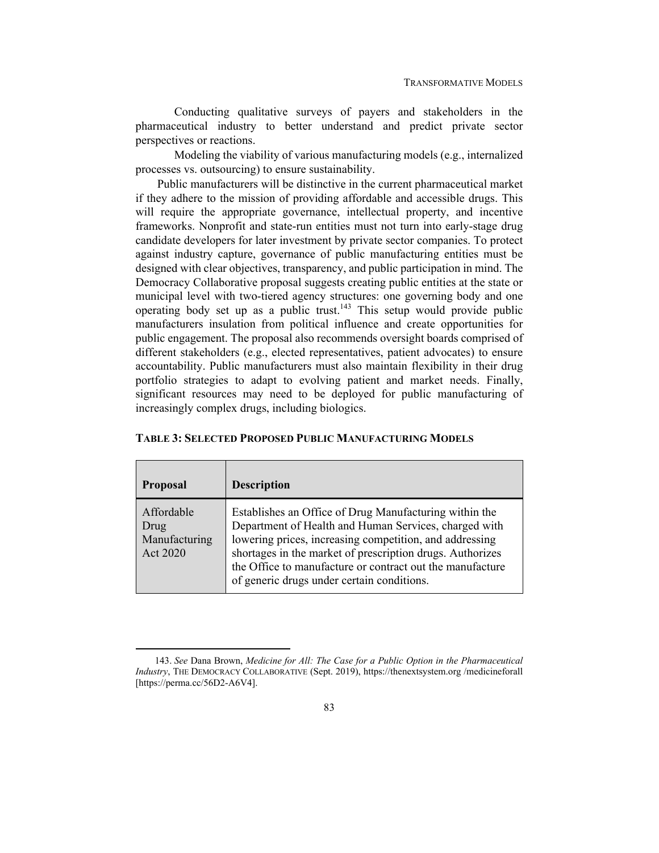Conducting qualitative surveys of payers and stakeholders in the pharmaceutical industry to better understand and predict private sector perspectives or reactions.

 Modeling the viability of various manufacturing models (e.g., internalized processes vs. outsourcing) to ensure sustainability.

Public manufacturers will be distinctive in the current pharmaceutical market if they adhere to the mission of providing affordable and accessible drugs. This will require the appropriate governance, intellectual property, and incentive frameworks. Nonprofit and state-run entities must not turn into early-stage drug candidate developers for later investment by private sector companies. To protect against industry capture, governance of public manufacturing entities must be designed with clear objectives, transparency, and public participation in mind. The Democracy Collaborative proposal suggests creating public entities at the state or municipal level with two-tiered agency structures: one governing body and one operating body set up as a public trust.<sup>143</sup> This setup would provide public manufacturers insulation from political influence and create opportunities for public engagement. The proposal also recommends oversight boards comprised of different stakeholders (e.g., elected representatives, patient advocates) to ensure accountability. Public manufacturers must also maintain flexibility in their drug portfolio strategies to adapt to evolving patient and market needs. Finally, significant resources may need to be deployed for public manufacturing of increasingly complex drugs, including biologics.

| <b>Proposal</b>                                 | <b>Description</b>                                                                                                                                                                                                                                                                                                                                 |
|-------------------------------------------------|----------------------------------------------------------------------------------------------------------------------------------------------------------------------------------------------------------------------------------------------------------------------------------------------------------------------------------------------------|
| Affordable<br>Drug<br>Manufacturing<br>Act 2020 | Establishes an Office of Drug Manufacturing within the<br>Department of Health and Human Services, charged with<br>lowering prices, increasing competition, and addressing<br>shortages in the market of prescription drugs. Authorizes<br>the Office to manufacture or contract out the manufacture<br>of generic drugs under certain conditions. |

### **TABLE 3: SELECTED PROPOSED PUBLIC MANUFACTURING MODELS**

<sup>143.</sup> *See* Dana Brown, *Medicine for All: The Case for a Public Option in the Pharmaceutical Industry*, THE DEMOCRACY COLLABORATIVE (Sept. 2019), https://thenextsystem.org /medicineforall [https://perma.cc/56D2-A6V4].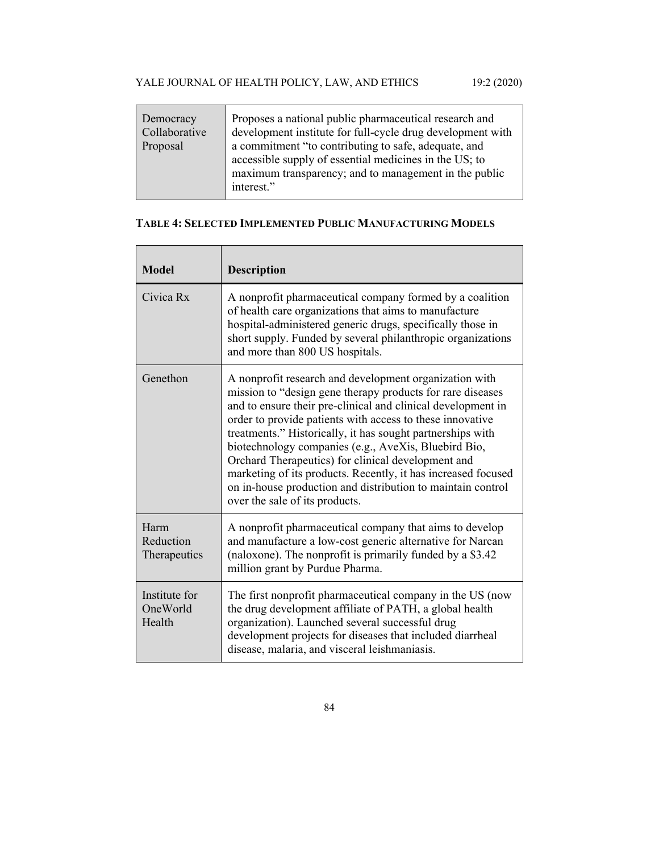| Democracy<br>Collaborative<br>Proposal | Proposes a national public pharmaceutical research and<br>development institute for full-cycle drug development with<br>a commitment "to contributing to safe, adequate, and<br>accessible supply of essential medicines in the US; to<br>maximum transparency; and to management in the public<br>interest." |
|----------------------------------------|---------------------------------------------------------------------------------------------------------------------------------------------------------------------------------------------------------------------------------------------------------------------------------------------------------------|

## **TABLE 4: SELECTED IMPLEMENTED PUBLIC MANUFACTURING MODELS**

| <b>Model</b>                        | <b>Description</b>                                                                                                                                                                                                                                                                                                                                                                                                                                                                                                                                                                              |
|-------------------------------------|-------------------------------------------------------------------------------------------------------------------------------------------------------------------------------------------------------------------------------------------------------------------------------------------------------------------------------------------------------------------------------------------------------------------------------------------------------------------------------------------------------------------------------------------------------------------------------------------------|
| Civica Rx                           | A nonprofit pharmaceutical company formed by a coalition<br>of health care organizations that aims to manufacture<br>hospital-administered generic drugs, specifically those in<br>short supply. Funded by several philanthropic organizations<br>and more than 800 US hospitals.                                                                                                                                                                                                                                                                                                               |
| Genethon                            | A nonprofit research and development organization with<br>mission to "design gene therapy products for rare diseases<br>and to ensure their pre-clinical and clinical development in<br>order to provide patients with access to these innovative<br>treatments." Historically, it has sought partnerships with<br>biotechnology companies (e.g., AveXis, Bluebird Bio,<br>Orchard Therapeutics) for clinical development and<br>marketing of its products. Recently, it has increased focused<br>on in-house production and distribution to maintain control<br>over the sale of its products. |
| Harm<br>Reduction<br>Therapeutics   | A nonprofit pharmaceutical company that aims to develop<br>and manufacture a low-cost generic alternative for Narcan<br>(naloxone). The nonprofit is primarily funded by a \$3.42<br>million grant by Purdue Pharma.                                                                                                                                                                                                                                                                                                                                                                            |
| Institute for<br>OneWorld<br>Health | The first nonprofit pharmaceutical company in the US (now<br>the drug development affiliate of PATH, a global health<br>organization). Launched several successful drug<br>development projects for diseases that included diarrheal<br>disease, malaria, and visceral leishmaniasis.                                                                                                                                                                                                                                                                                                           |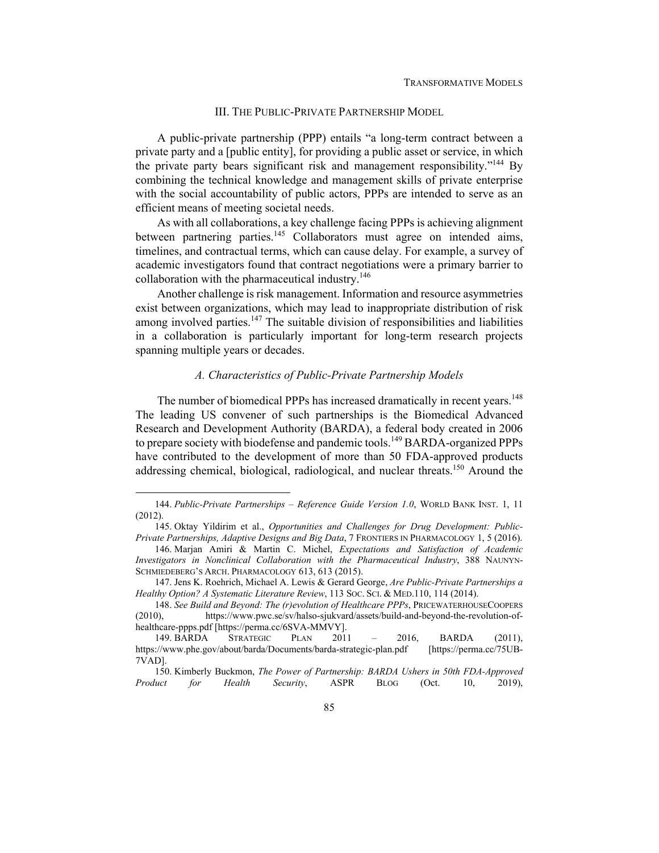## III. THE PUBLIC-PRIVATE PARTNERSHIP MODEL

A public-private partnership (PPP) entails "a long-term contract between a private party and a [public entity], for providing a public asset or service, in which the private party bears significant risk and management responsibility."<sup>144</sup> By combining the technical knowledge and management skills of private enterprise with the social accountability of public actors, PPPs are intended to serve as an efficient means of meeting societal needs.

As with all collaborations, a key challenge facing PPPs is achieving alignment between partnering parties.<sup>145</sup> Collaborators must agree on intended aims, timelines, and contractual terms, which can cause delay. For example, a survey of academic investigators found that contract negotiations were a primary barrier to collaboration with the pharmaceutical industry.<sup>146</sup>

Another challenge is risk management. Information and resource asymmetries exist between organizations, which may lead to inappropriate distribution of risk among involved parties.<sup>147</sup> The suitable division of responsibilities and liabilities in a collaboration is particularly important for long-term research projects spanning multiple years or decades.

## *A. Characteristics of Public-Private Partnership Models*

The number of biomedical PPPs has increased dramatically in recent years.<sup>148</sup> The leading US convener of such partnerships is the Biomedical Advanced Research and Development Authority (BARDA), a federal body created in 2006 to prepare society with biodefense and pandemic tools.<sup>149</sup> BARDA-organized PPPs have contributed to the development of more than 50 FDA-approved products addressing chemical, biological, radiological, and nuclear threats.<sup>150</sup> Around the

<sup>144.</sup> *Public-Private Partnerships – Reference Guide Version 1.0*, WORLD BANK INST. 1, 11 (2012).

 <sup>145.</sup> Oktay Yildirim et al., *Opportunities and Challenges for Drug Development: Public-Private Partnerships, Adaptive Designs and Big Data*, 7 FRONTIERS IN PHARMACOLOGY 1, 5 (2016).

 <sup>146.</sup> Marjan Amiri & Martin C. Michel, *Expectations and Satisfaction of Academic Investigators in Nonclinical Collaboration with the Pharmaceutical Industry*, 388 NAUNYN-SCHMIEDEBERG'S ARCH. PHARMACOLOGY 613, 613 (2015).

 <sup>147.</sup> Jens K. Roehrich, Michael A. Lewis & Gerard George, *Are Public-Private Partnerships a Healthy Option? A Systematic Literature Review*, 113 SOC. SCI. & MED.110, 114 (2014).

<sup>148.</sup> *See Build and Beyond: The (r)evolution of Healthcare PPPs*, PRICEWATERHOUSECOOPERS (2010), https://www.pwc.se/sv/halso-sjukvard/assets/build-and-beyond-the-revolution-ofhealthcare-ppps.pdf [https://perma.cc/6SVA-MMVY].

 <sup>149.</sup> BARDA STRATEGIC PLAN 2011 – 2016, BARDA (2011), https://www.phe.gov/about/barda/Documents/barda-strategic-plan.pdf [https://perma.cc/75UB-7VAD].

 <sup>150.</sup> Kimberly Buckmon, *The Power of Partnership: BARDA Ushers in 50th FDA-Approved Product for Health Security*, ASPR BLOG (Oct. 10, 2019),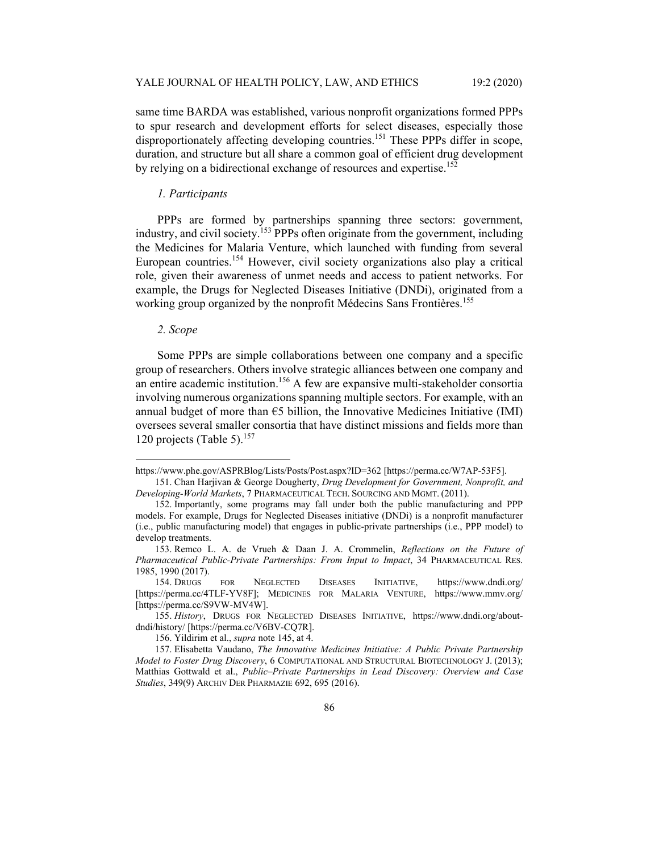same time BARDA was established, various nonprofit organizations formed PPPs to spur research and development efforts for select diseases, especially those disproportionately affecting developing countries.<sup>151</sup> These PPPs differ in scope, duration, and structure but all share a common goal of efficient drug development by relying on a bidirectional exchange of resources and expertise.<sup>152</sup>

## *1. Participants*

PPPs are formed by partnerships spanning three sectors: government, industry, and civil society.<sup>153</sup> PPPs often originate from the government, including the Medicines for Malaria Venture, which launched with funding from several European countries.154 However, civil society organizations also play a critical role, given their awareness of unmet needs and access to patient networks. For example, the Drugs for Neglected Diseases Initiative (DNDi), originated from a working group organized by the nonprofit Médecins Sans Frontières.<sup>155</sup>

#### *2. Scope*

Some PPPs are simple collaborations between one company and a specific group of researchers. Others involve strategic alliances between one company and an entire academic institution.<sup>156</sup> A few are expansive multi-stakeholder consortia involving numerous organizations spanning multiple sectors. For example, with an annual budget of more than  $\epsilon$ 5 billion, the Innovative Medicines Initiative (IMI) oversees several smaller consortia that have distinct missions and fields more than 120 projects (Table 5). $157$ 

https://www.phe.gov/ASPRBlog/Lists/Posts/Post.aspx?ID=362 [https://perma.cc/W7AP-53F5].

 <sup>151.</sup> Chan Harjivan & George Dougherty, *Drug Development for Government, Nonprofit, and Developing-World Markets*, 7 PHARMACEUTICAL TECH. SOURCING AND MGMT. (2011).

 <sup>152.</sup> Importantly, some programs may fall under both the public manufacturing and PPP models. For example, Drugs for Neglected Diseases initiative (DNDi) is a nonprofit manufacturer (i.e., public manufacturing model) that engages in public-private partnerships (i.e., PPP model) to develop treatments.

 <sup>153.</sup> Remco L. A. de Vrueh & Daan J. A. Crommelin, *Reflections on the Future of Pharmaceutical Public-Private Partnerships: From Input to Impact*, 34 PHARMACEUTICAL RES. 1985, 1990 (2017).

 <sup>154.</sup> DRUGS FOR NEGLECTED DISEASES INITIATIVE, https://www.dndi.org/ [https://perma.cc/4TLF-YV8F]; MEDICINES FOR MALARIA VENTURE, https://www.mmv.org/ [https://perma.cc/S9VW-MV4W].

<sup>155.</sup> *History*, DRUGS FOR NEGLECTED DISEASES INITIATIVE, https://www.dndi.org/aboutdndi/history/ [https://perma.cc/V6BV-CQ7R].

 <sup>156.</sup> Yildirim et al., *supra* note 145, at 4.

 <sup>157.</sup> Elisabetta Vaudano, *The Innovative Medicines Initiative: A Public Private Partnership Model to Foster Drug Discovery*, 6 COMPUTATIONAL AND STRUCTURAL BIOTECHNOLOGY J. (2013); Matthias Gottwald et al., *Public–Private Partnerships in Lead Discovery: Overview and Case Studies*, 349(9) ARCHIV DER PHARMAZIE 692, 695 (2016).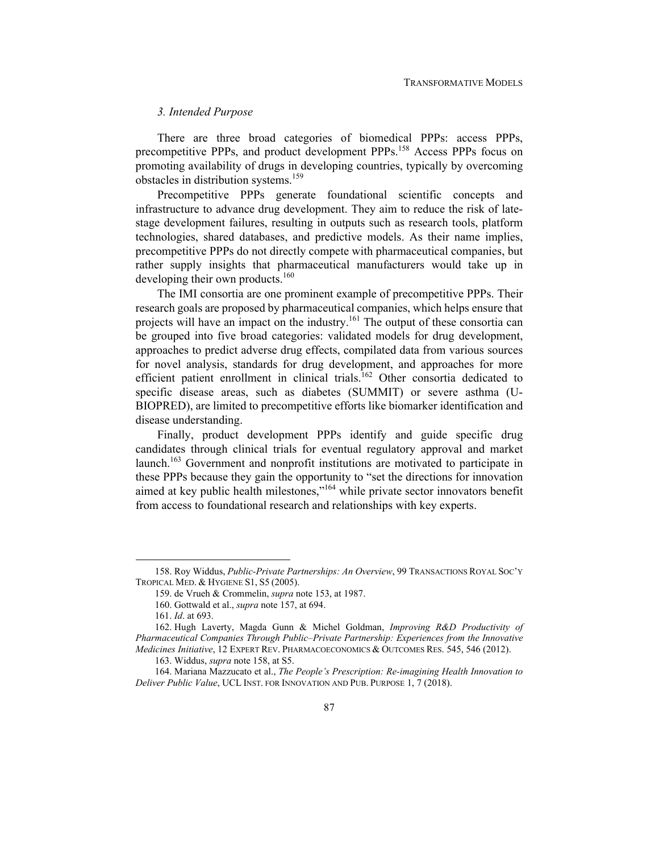## *3. Intended Purpose*

There are three broad categories of biomedical PPPs: access PPPs, precompetitive PPPs, and product development PPPs.158 Access PPPs focus on promoting availability of drugs in developing countries, typically by overcoming obstacles in distribution systems.<sup>159</sup>

Precompetitive PPPs generate foundational scientific concepts and infrastructure to advance drug development. They aim to reduce the risk of latestage development failures, resulting in outputs such as research tools, platform technologies, shared databases, and predictive models. As their name implies, precompetitive PPPs do not directly compete with pharmaceutical companies, but rather supply insights that pharmaceutical manufacturers would take up in developing their own products.<sup>160</sup>

The IMI consortia are one prominent example of precompetitive PPPs. Their research goals are proposed by pharmaceutical companies, which helps ensure that projects will have an impact on the industry.<sup>161</sup> The output of these consortia can be grouped into five broad categories: validated models for drug development, approaches to predict adverse drug effects, compilated data from various sources for novel analysis, standards for drug development, and approaches for more efficient patient enrollment in clinical trials.<sup>162</sup> Other consortia dedicated to specific disease areas, such as diabetes (SUMMIT) or severe asthma (U-BIOPRED), are limited to precompetitive efforts like biomarker identification and disease understanding.

Finally, product development PPPs identify and guide specific drug candidates through clinical trials for eventual regulatory approval and market launch.<sup>163</sup> Government and nonprofit institutions are motivated to participate in these PPPs because they gain the opportunity to "set the directions for innovation aimed at key public health milestones,"<sup>164</sup> while private sector innovators benefit from access to foundational research and relationships with key experts.

 <sup>158.</sup> Roy Widdus, *Public-Private Partnerships: An Overview*, 99 TRANSACTIONS ROYAL SOC'Y TROPICAL MED. & HYGIENE S1, S5 (2005).

 <sup>159.</sup> de Vrueh & Crommelin, *supra* note 153, at 1987.

 <sup>160.</sup> Gottwald et al., *supra* note 157, at 694.

<sup>161.</sup> *Id*. at 693.

 <sup>162.</sup> Hugh Laverty, Magda Gunn & Michel Goldman, *Improving R&D Productivity of Pharmaceutical Companies Through Public–Private Partnership: Experiences from the Innovative Medicines Initiative*, 12 EXPERT REV. PHARMACOECONOMICS & OUTCOMES RES. 545, 546 (2012).

 <sup>163.</sup> Widdus, *supra* note 158, at S5.

 <sup>164.</sup> Mariana Mazzucato et al., *The People's Prescription: Re-imagining Health Innovation to Deliver Public Value*, UCL INST. FOR INNOVATION AND PUB. PURPOSE 1, 7 (2018).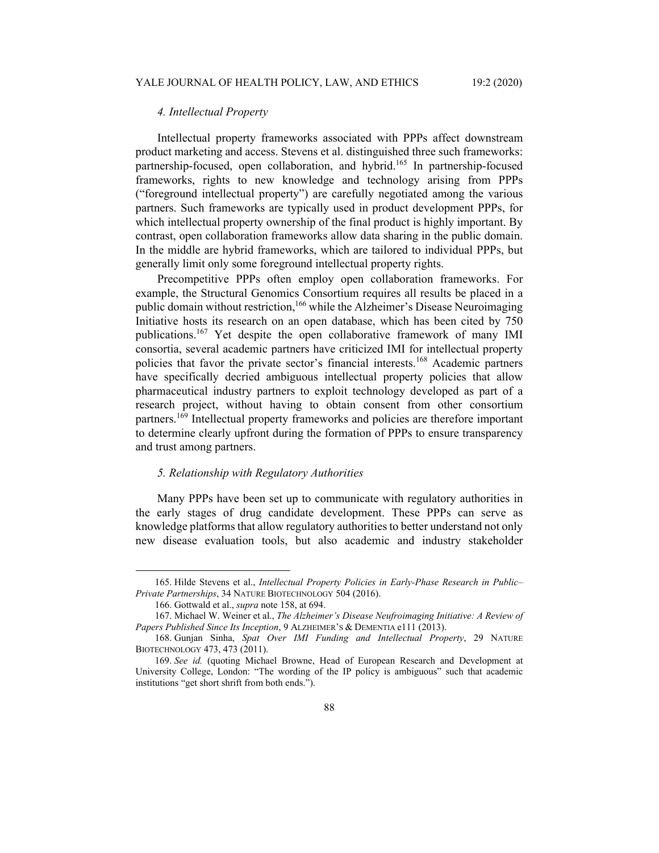## *4. Intellectual Property*

Intellectual property frameworks associated with PPPs affect downstream product marketing and access. Stevens et al. distinguished three such frameworks: partnership-focused, open collaboration, and hybrid.<sup>165</sup> In partnership-focused frameworks, rights to new knowledge and technology arising from PPPs ("foreground intellectual property") are carefully negotiated among the various partners. Such frameworks are typically used in product development PPPs, for which intellectual property ownership of the final product is highly important. By contrast, open collaboration frameworks allow data sharing in the public domain. In the middle are hybrid frameworks, which are tailored to individual PPPs, but generally limit only some foreground intellectual property rights.

Precompetitive PPPs often employ open collaboration frameworks. For example, the Structural Genomics Consortium requires all results be placed in a public domain without restriction,<sup>166</sup> while the Alzheimer's Disease Neuroimaging Initiative hosts its research on an open database, which has been cited by 750 publications.167 Yet despite the open collaborative framework of many IMI consortia, several academic partners have criticized IMI for intellectual property policies that favor the private sector's financial interests.168 Academic partners have specifically decried ambiguous intellectual property policies that allow pharmaceutical industry partners to exploit technology developed as part of a research project, without having to obtain consent from other consortium partners.169 Intellectual property frameworks and policies are therefore important to determine clearly upfront during the formation of PPPs to ensure transparency and trust among partners.

### *5. Relationship with Regulatory Authorities*

Many PPPs have been set up to communicate with regulatory authorities in the early stages of drug candidate development. These PPPs can serve as knowledge platforms that allow regulatory authorities to better understand not only new disease evaluation tools, but also academic and industry stakeholder

 <sup>165.</sup> Hilde Stevens et al., *Intellectual Property Policies in Early-Phase Research in Public– Private Partnerships*, 34 NATURE BIOTECHNOLOGY 504 (2016).

 <sup>166.</sup> Gottwald et al., *supra* note 158, at 694.

 <sup>167.</sup> Michael W. Weiner et al., *The Alzheimer's Disease Neufroimaging Initiative: A Review of Papers Published Since Its Inception*, 9 ALZHEIMER'S & DEMENTIA e111 (2013).

 <sup>168.</sup> Gunjan Sinha, *Spat Over IMI Funding and Intellectual Property*, 29 NATURE BIOTECHNOLOGY 473, 473 (2011).

<sup>169.</sup> *See id.* (quoting Michael Browne, Head of European Research and Development at University College, London: "The wording of the IP policy is ambiguous" such that academic institutions "get short shrift from both ends.").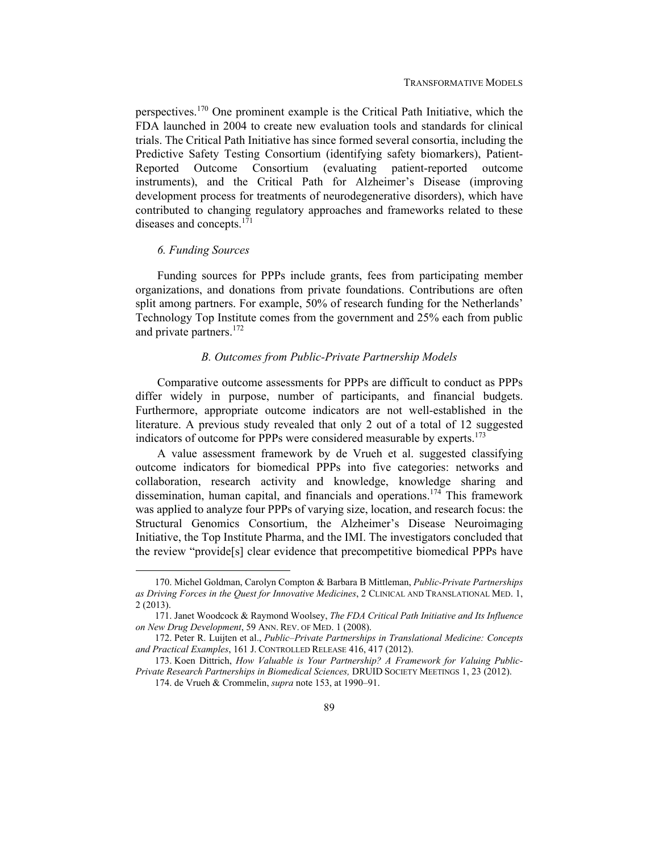perspectives.<sup>170</sup> One prominent example is the Critical Path Initiative, which the FDA launched in 2004 to create new evaluation tools and standards for clinical trials. The Critical Path Initiative has since formed several consortia, including the Predictive Safety Testing Consortium (identifying safety biomarkers), Patient-Reported Outcome Consortium (evaluating patient-reported outcome instruments), and the Critical Path for Alzheimer's Disease (improving development process for treatments of neurodegenerative disorders), which have contributed to changing regulatory approaches and frameworks related to these diseases and concepts.<sup>171</sup>

#### *6. Funding Sources*

Funding sources for PPPs include grants, fees from participating member organizations, and donations from private foundations. Contributions are often split among partners. For example, 50% of research funding for the Netherlands' Technology Top Institute comes from the government and 25% each from public and private partners.<sup>172</sup>

# *B. Outcomes from Public-Private Partnership Models*

Comparative outcome assessments for PPPs are difficult to conduct as PPPs differ widely in purpose, number of participants, and financial budgets. Furthermore, appropriate outcome indicators are not well-established in the literature. A previous study revealed that only 2 out of a total of 12 suggested indicators of outcome for PPPs were considered measurable by experts.<sup>173</sup>

A value assessment framework by de Vrueh et al. suggested classifying outcome indicators for biomedical PPPs into five categories: networks and collaboration, research activity and knowledge, knowledge sharing and dissemination, human capital, and financials and operations.<sup>174</sup> This framework was applied to analyze four PPPs of varying size, location, and research focus: the Structural Genomics Consortium, the Alzheimer's Disease Neuroimaging Initiative, the Top Institute Pharma, and the IMI. The investigators concluded that the review "provide[s] clear evidence that precompetitive biomedical PPPs have

 <sup>170.</sup> Michel Goldman, Carolyn Compton & Barbara B Mittleman, *Public-Private Partnerships as Driving Forces in the Quest for Innovative Medicines*, 2 CLINICAL AND TRANSLATIONAL MED. 1, 2 (2013).

 <sup>171.</sup> Janet Woodcock & Raymond Woolsey, *The FDA Critical Path Initiative and Its Influence on New Drug Development*, 59 ANN. REV. OF MED. 1 (2008).

 <sup>172.</sup> Peter R. Luijten et al., *Public–Private Partnerships in Translational Medicine: Concepts and Practical Examples*, 161 J. CONTROLLED RELEASE 416, 417 (2012).

 <sup>173.</sup> Koen Dittrich, *How Valuable is Your Partnership? A Framework for Valuing Public-Private Research Partnerships in Biomedical Sciences,* DRUID SOCIETY MEETINGS 1, 23 (2012).

 <sup>174.</sup> de Vrueh & Crommelin, *supra* note 153, at 1990–91.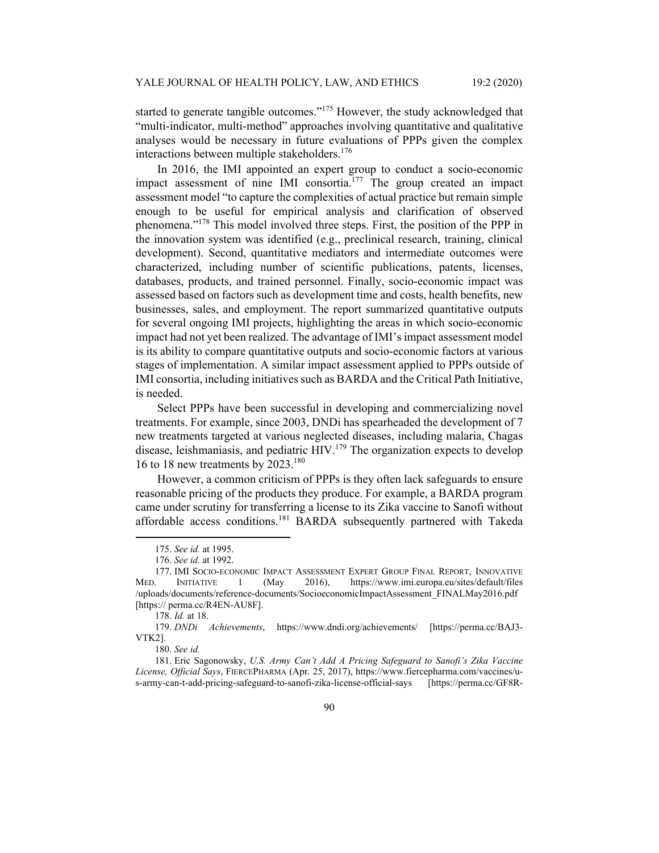started to generate tangible outcomes."<sup>175</sup> However, the study acknowledged that "multi-indicator, multi-method" approaches involving quantitative and qualitative analyses would be necessary in future evaluations of PPPs given the complex interactions between multiple stakeholders.<sup>176</sup>

In 2016, the IMI appointed an expert group to conduct a socio-economic impact assessment of nine IMI consortia.<sup>177</sup> The group created an impact assessment model "to capture the complexities of actual practice but remain simple enough to be useful for empirical analysis and clarification of observed phenomena."178 This model involved three steps. First, the position of the PPP in the innovation system was identified (e.g., preclinical research, training, clinical development). Second, quantitative mediators and intermediate outcomes were characterized, including number of scientific publications, patents, licenses, databases, products, and trained personnel. Finally, socio-economic impact was assessed based on factors such as development time and costs, health benefits, new businesses, sales, and employment. The report summarized quantitative outputs for several ongoing IMI projects, highlighting the areas in which socio-economic impact had not yet been realized. The advantage of IMI's impact assessment model is its ability to compare quantitative outputs and socio-economic factors at various stages of implementation. A similar impact assessment applied to PPPs outside of IMI consortia, including initiatives such as BARDA and the Critical Path Initiative, is needed.

Select PPPs have been successful in developing and commercializing novel treatments. For example, since 2003, DNDi has spearheaded the development of 7 new treatments targeted at various neglected diseases, including malaria, Chagas disease, leishmaniasis, and pediatric HIV.<sup>179</sup> The organization expects to develop 16 to 18 new treatments by  $2023.^{180}$ 

However, a common criticism of PPPs is they often lack safeguards to ensure reasonable pricing of the products they produce. For example, a BARDA program came under scrutiny for transferring a license to its Zika vaccine to Sanofi without affordable access conditions.<sup>181</sup> BARDA subsequently partnered with Takeda

<sup>175.</sup> *See id.* at 1995.

<sup>176.</sup> *See id.* at 1992.

 <sup>177.</sup> IMI SOCIO-ECONOMIC IMPACT ASSESSMENT EXPERT GROUP FINAL REPORT, INNOVATIVE MED. INITIATIVE 1 (May 2016), https://www.imi.europa.eu/sites/default/files /uploads/documents/reference-documents/SocioeconomicImpactAssessment\_FINALMay2016.pdf [https:// perma.cc/R4EN-AU8F].

<sup>178.</sup> *Id.* at 18.

<sup>179.</sup> *DNDi Achievements*, https://www.dndi.org/achievements/ [https://perma.cc/BAJ3- VTK2].

<sup>180.</sup> *See id.*

 <sup>181.</sup> Eric Sagonowsky, *U.S. Army Can't Add A Pricing Safeguard to Sanofi's Zika Vaccine License, Official Says*, FIERCEPHARMA (Apr. 25, 2017), https://www.fiercepharma.com/vaccines/us-army-can-t-add-pricing-safeguard-to-sanofi-zika-license-official-says [https://perma.cc/GF8R-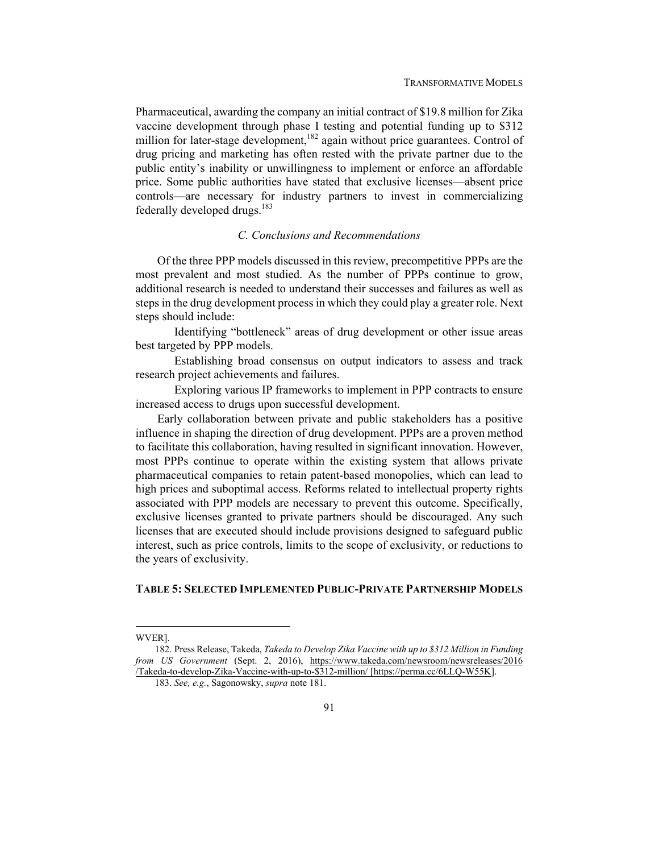Pharmaceutical, awarding the company an initial contract of \$19.8 million for Zika vaccine development through phase I testing and potential funding up to \$312 million for later-stage development,<sup>182</sup> again without price guarantees. Control of drug pricing and marketing has often rested with the private partner due to the public entity's inability or unwillingness to implement or enforce an affordable price. Some public authorities have stated that exclusive licenses—absent price controls—are necessary for industry partners to invest in commercializing federally developed drugs.<sup>183</sup>

# *C. Conclusions and Recommendations*

Of the three PPP models discussed in this review, precompetitive PPPs are the most prevalent and most studied. As the number of PPPs continue to grow, additional research is needed to understand their successes and failures as well as steps in the drug development process in which they could play a greater role. Next steps should include:

 Identifying "bottleneck" areas of drug development or other issue areas best targeted by PPP models.

 Establishing broad consensus on output indicators to assess and track research project achievements and failures.

 Exploring various IP frameworks to implement in PPP contracts to ensure increased access to drugs upon successful development.

Early collaboration between private and public stakeholders has a positive influence in shaping the direction of drug development. PPPs are a proven method to facilitate this collaboration, having resulted in significant innovation. However, most PPPs continue to operate within the existing system that allows private pharmaceutical companies to retain patent-based monopolies, which can lead to high prices and suboptimal access. Reforms related to intellectual property rights associated with PPP models are necessary to prevent this outcome. Specifically, exclusive licenses granted to private partners should be discouraged. Any such licenses that are executed should include provisions designed to safeguard public interest, such as price controls, limits to the scope of exclusivity, or reductions to the years of exclusivity.

## **TABLE 5: SELECTED IMPLEMENTED PUBLIC-PRIVATE PARTNERSHIP MODELS**

WVER].

 <sup>182.</sup> Press Release, Takeda, *Takeda to Develop Zika Vaccine with up to \$312 Million in Funding from US Government* (Sept. 2, 2016), https://www.takeda.com/newsroom/newsreleases/2016 /Takeda-to-develop-Zika-Vaccine-with-up-to-\$312-million/ [https://perma.cc/6LLQ-W55K].

<sup>183.</sup> *See, e.g.*, Sagonowsky, *supra* note 181.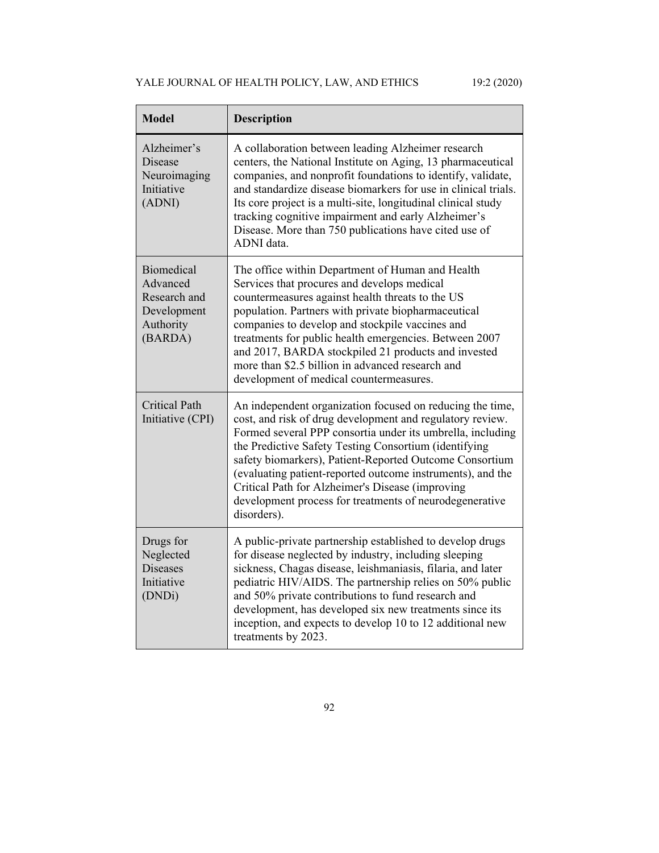# YALE JOURNAL OF HEALTH POLICY, LAW, AND ETHICS 19:2 (2020)

| <b>Model</b>                                                                         | <b>Description</b>                                                                                                                                                                                                                                                                                                                                                                                                                                                                                   |
|--------------------------------------------------------------------------------------|------------------------------------------------------------------------------------------------------------------------------------------------------------------------------------------------------------------------------------------------------------------------------------------------------------------------------------------------------------------------------------------------------------------------------------------------------------------------------------------------------|
| Alzheimer's<br><b>Disease</b><br>Neuroimaging<br>Initiative<br>(ADNI)                | A collaboration between leading Alzheimer research<br>centers, the National Institute on Aging, 13 pharmaceutical<br>companies, and nonprofit foundations to identify, validate,<br>and standardize disease biomarkers for use in clinical trials.<br>Its core project is a multi-site, longitudinal clinical study<br>tracking cognitive impairment and early Alzheimer's<br>Disease. More than 750 publications have cited use of<br>ADNI data.                                                    |
| <b>Biomedical</b><br>Advanced<br>Research and<br>Development<br>Authority<br>(BARDA) | The office within Department of Human and Health<br>Services that procures and develops medical<br>countermeasures against health threats to the US<br>population. Partners with private biopharmaceutical<br>companies to develop and stockpile vaccines and<br>treatments for public health emergencies. Between 2007<br>and 2017, BARDA stockpiled 21 products and invested<br>more than \$2.5 billion in advanced research and<br>development of medical countermeasures.                        |
| <b>Critical Path</b><br>Initiative (CPI)                                             | An independent organization focused on reducing the time,<br>cost, and risk of drug development and regulatory review.<br>Formed several PPP consortia under its umbrella, including<br>the Predictive Safety Testing Consortium (identifying<br>safety biomarkers), Patient-Reported Outcome Consortium<br>(evaluating patient-reported outcome instruments), and the<br>Critical Path for Alzheimer's Disease (improving<br>development process for treatments of neurodegenerative<br>disorders). |
| Drugs for<br>Neglected<br><b>Diseases</b><br>Initiative<br>(DNDi)                    | A public-private partnership established to develop drugs<br>for disease neglected by industry, including sleeping<br>sickness, Chagas disease, leishmaniasis, filaria, and later<br>pediatric HIV/AIDS. The partnership relies on 50% public<br>and 50% private contributions to fund research and<br>development, has developed six new treatments since its<br>inception, and expects to develop 10 to 12 additional new<br>treatments by 2023.                                                   |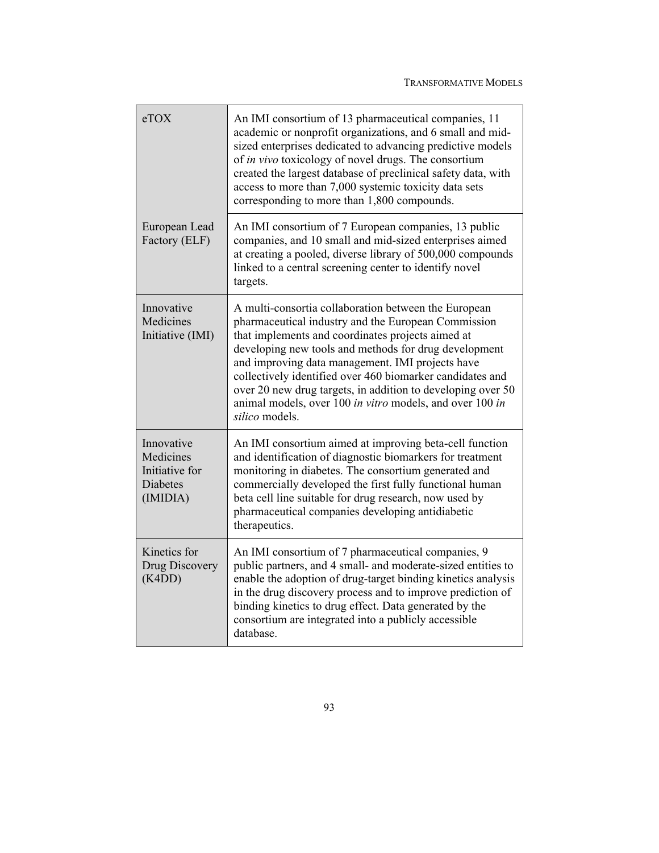| eTOX                                                                     | An IMI consortium of 13 pharmaceutical companies, 11<br>academic or nonprofit organizations, and 6 small and mid-<br>sized enterprises dedicated to advancing predictive models<br>of in vivo toxicology of novel drugs. The consortium<br>created the largest database of preclinical safety data, with<br>access to more than 7,000 systemic toxicity data sets<br>corresponding to more than 1,800 compounds.                                                                        |
|--------------------------------------------------------------------------|-----------------------------------------------------------------------------------------------------------------------------------------------------------------------------------------------------------------------------------------------------------------------------------------------------------------------------------------------------------------------------------------------------------------------------------------------------------------------------------------|
| European Lead<br>Factory (ELF)                                           | An IMI consortium of 7 European companies, 13 public<br>companies, and 10 small and mid-sized enterprises aimed<br>at creating a pooled, diverse library of 500,000 compounds<br>linked to a central screening center to identify novel<br>targets.                                                                                                                                                                                                                                     |
| Innovative<br>Medicines<br>Initiative (IMI)                              | A multi-consortia collaboration between the European<br>pharmaceutical industry and the European Commission<br>that implements and coordinates projects aimed at<br>developing new tools and methods for drug development<br>and improving data management. IMI projects have<br>collectively identified over 460 biomarker candidates and<br>over 20 new drug targets, in addition to developing over 50<br>animal models, over 100 in vitro models, and over 100 in<br>silico models. |
| Innovative<br>Medicines<br>Initiative for<br><b>Diabetes</b><br>(IMIDIA) | An IMI consortium aimed at improving beta-cell function<br>and identification of diagnostic biomarkers for treatment<br>monitoring in diabetes. The consortium generated and<br>commercially developed the first fully functional human<br>beta cell line suitable for drug research, now used by<br>pharmaceutical companies developing antidiabetic<br>therapeutics.                                                                                                                  |
| Kinetics for<br>Drug Discovery<br>(K4DD)                                 | An IMI consortium of 7 pharmaceutical companies, 9<br>public partners, and 4 small- and moderate-sized entities to<br>enable the adoption of drug-target binding kinetics analysis<br>in the drug discovery process and to improve prediction of<br>binding kinetics to drug effect. Data generated by the<br>consortium are integrated into a publicly accessible<br>database.                                                                                                         |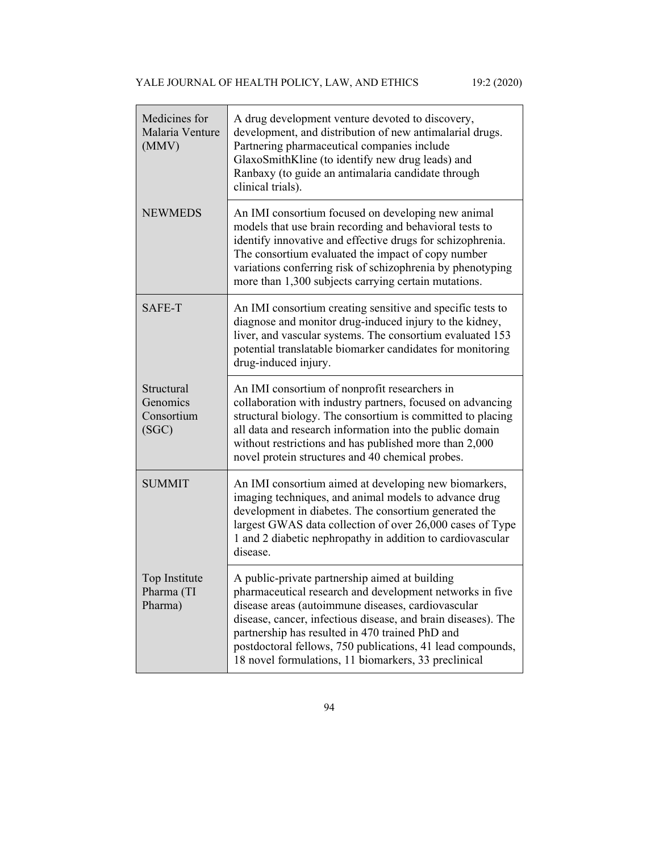| Medicines for<br>Malaria Venture<br>(MMV)     | A drug development venture devoted to discovery,<br>development, and distribution of new antimalarial drugs.<br>Partnering pharmaceutical companies include<br>GlaxoSmithKline (to identify new drug leads) and<br>Ranbaxy (to guide an antimalaria candidate through<br>clinical trials).                                                                                                                 |
|-----------------------------------------------|------------------------------------------------------------------------------------------------------------------------------------------------------------------------------------------------------------------------------------------------------------------------------------------------------------------------------------------------------------------------------------------------------------|
| <b>NEWMEDS</b>                                | An IMI consortium focused on developing new animal<br>models that use brain recording and behavioral tests to<br>identify innovative and effective drugs for schizophrenia.<br>The consortium evaluated the impact of copy number<br>variations conferring risk of schizophrenia by phenotyping<br>more than 1,300 subjects carrying certain mutations.                                                    |
| SAFE-T                                        | An IMI consortium creating sensitive and specific tests to<br>diagnose and monitor drug-induced injury to the kidney,<br>liver, and vascular systems. The consortium evaluated 153<br>potential translatable biomarker candidates for monitoring<br>drug-induced injury.                                                                                                                                   |
| Structural<br>Genomics<br>Consortium<br>(SGC) | An IMI consortium of nonprofit researchers in<br>collaboration with industry partners, focused on advancing<br>structural biology. The consortium is committed to placing<br>all data and research information into the public domain<br>without restrictions and has published more than 2,000<br>novel protein structures and 40 chemical probes.                                                        |
| <b>SUMMIT</b>                                 | An IMI consortium aimed at developing new biomarkers,<br>imaging techniques, and animal models to advance drug<br>development in diabetes. The consortium generated the<br>largest GWAS data collection of over 26,000 cases of Type<br>1 and 2 diabetic nephropathy in addition to cardiovascular<br>disease.                                                                                             |
| Top Institute<br>Pharma (TI<br>Pharma)        | A public-private partnership aimed at building<br>pharmaceutical research and development networks in five<br>disease areas (autoimmune diseases, cardiovascular<br>disease, cancer, infectious disease, and brain diseases). The<br>partnership has resulted in 470 trained PhD and<br>postdoctoral fellows, 750 publications, 41 lead compounds,<br>18 novel formulations, 11 biomarkers, 33 preclinical |